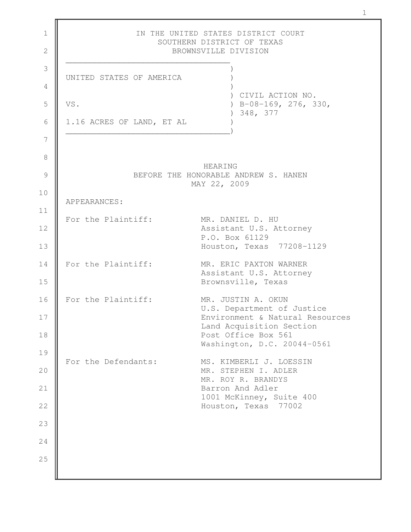| IN THE UNITED STATES DISTRICT COURT<br>SOUTHERN DISTRICT OF TEXAS<br>BROWNSVILLE DIVISION |
|-------------------------------------------------------------------------------------------|
| UNITED STATES OF AMERICA                                                                  |
| CIVIL ACTION NO.                                                                          |
| VS.<br>$B-08-169$ , 276, 330,<br>348, 377                                                 |
| 1.16 ACRES OF LAND, ET AL                                                                 |
|                                                                                           |
| <b>HEARING</b><br>BEFORE THE HONORABLE ANDREW S. HANEN                                    |
| MAY 22, 2009                                                                              |
| APPEARANCES:                                                                              |
| For the Plaintiff:<br>MR. DANIEL D. HU<br>Assistant U.S. Attorney                         |
| P.O. Box 61129<br>Houston, Texas 77208-1129                                               |
| For the Plaintiff:<br>MR. ERIC PAXTON WARNER<br>Assistant U.S. Attorney                   |
| Brownsville, Texas                                                                        |
| For the Plaintiff:<br>MR. JUSTIN A. OKUN<br>U.S. Department of Justice                    |
| Environment & Natural Resources<br>Land Acquisition Section                               |
| Post Office Box 561<br>Washington, D.C. 20044-0561                                        |
| For the Defendants:<br>MS. KIMBERLI J. LOESSIN                                            |
| MR. STEPHEN I. ADLER<br>MR. ROY R. BRANDYS                                                |
| Barron And Adler<br>1001 McKinney, Suite 400                                              |
| Houston, Texas<br>77002                                                                   |
|                                                                                           |
|                                                                                           |
|                                                                                           |
|                                                                                           |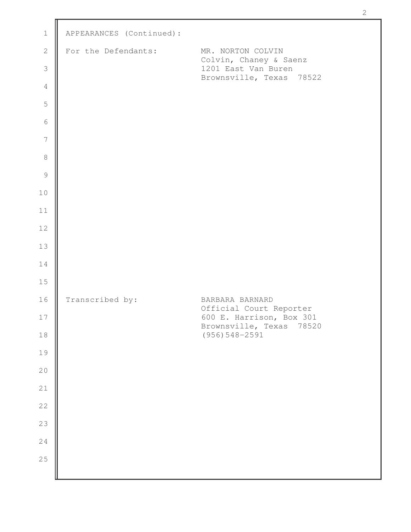| $\mathbf 1$              | APPEARANCES (Continued): |                                                         |
|--------------------------|--------------------------|---------------------------------------------------------|
| $\sqrt{2}$               | For the Defendants:      | MR. NORTON COLVIN                                       |
| $\mathfrak{Z}$           |                          | Colvin, Chaney & Saenz<br>1201 East Van Buren           |
| $\sqrt{4}$               |                          | Brownsville, Texas 78522                                |
| 5                        |                          |                                                         |
| $\sqrt{6}$               |                          |                                                         |
| $\overline{\phantom{a}}$ |                          |                                                         |
| $\,8\,$                  |                          |                                                         |
| $\mathcal{G}$            |                          |                                                         |
| 10                       |                          |                                                         |
| 11                       |                          |                                                         |
| 12                       |                          |                                                         |
| 13                       |                          |                                                         |
| 14                       |                          |                                                         |
| 15                       |                          |                                                         |
| 16                       | Transcribed by:          | BARBARA BARNARD<br>Official Court Reporter              |
| 17                       |                          | 600 E. Harrison, Box 301<br>Brownsville, Texas<br>78520 |
| $1\,8$                   |                          | $(956) 548 - 2591$                                      |
| 19                       |                          |                                                         |
| $20$                     |                          |                                                         |
| $2\sqrt{1}$              |                          |                                                         |
| $2\sqrt{2}$              |                          |                                                         |
| 23                       |                          |                                                         |
| 24<br>25                 |                          |                                                         |
|                          |                          |                                                         |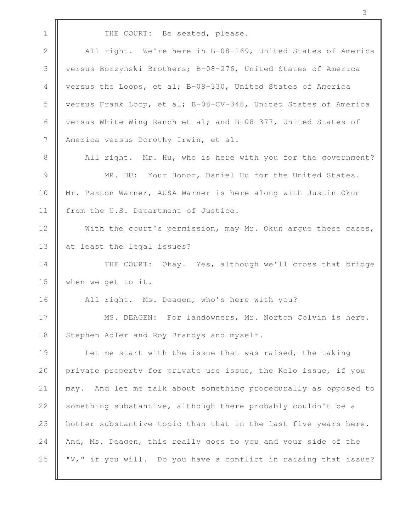1 THE COURT: Be seated, please. 2 | All right. We're here in B-08-169, United States of America 3 versus Borzynski Brothers; B-08-276, United States of America 4 versus the Loops, et al; B-08-330, United States of America 5 versus Frank Loop, et al; B-08-CV-348, United States of America 6  $\parallel$  versus White Wing Ranch et al; and B-08-377, United States of 7 | America versus Dorothy Irwin, et al. 8 All right. Mr. Hu, who is here with you for the government? 9 **MR.** HU: Your Honor, Daniel Hu for the United States. 10 | Mr. Paxton Warner, AUSA Warner is here along with Justin Okun 11 | from the U.S. Department of Justice. 12 With the court's permission, may Mr. Okun arque these cases, 13 at least the legal issues? 14 || THE COURT: Okay. Yes, although we'll cross that bridge 15 when we get to it. 16 | All right. Ms. Deagen, who's here with you? 17 | MS. DEAGEN: For landowners, Mr. Norton Colvin is here. 18 Stephen Adler and Roy Brandys and myself. 19 || Let me start with the issue that was raised, the taking 20 private property for private use issue, the Kelo issue, if you 21 may. And let me talk about something procedurally as opposed to 22  $\parallel$  something substantive, although there probably couldn't be a 23 | hotter substantive topic than that in the last five years here. 24 And, Ms. Deagen, this really goes to you and your side of the 25  $\parallel$  "V," if you will. Do you have a conflict in raising that issue?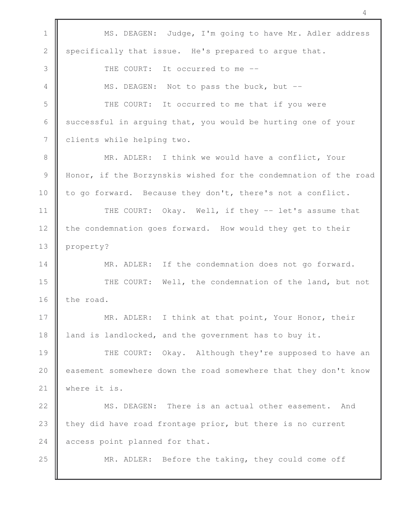1 | MS. DEAGEN: Judge, I'm going to have Mr. Adler address 2 specifically that issue. He's prepared to argue that. 3 **I** THE COURT: It occurred to me --4 | MS. DEAGEN: Not to pass the buck, but --5 THE COURT: It occurred to me that if you were 6 successful in arguing that, you would be hurting one of your 7 | clients while helping two. 8 || MR. ADLER: I think we would have a conflict, Your 9 Honor, if the Borzynskis wished for the condemnation of the road 10 to go forward. Because they don't, there's not a conflict. 11 | THE COURT: Okay. Well, if they -- let's assume that 12 the condemnation goes forward. How would they get to their 13 **property?** 14 || MR. ADLER: If the condemnation does not go forward. 15 **THE COURT:** Well, the condemnation of the land, but not 16  $\parallel$  the road. 17 || MR. ADLER: I think at that point, Your Honor, their 18 | land is landlocked, and the government has to buy it. 19 THE COURT: Okay. Although they're supposed to have an 20 easement somewhere down the road somewhere that they don't know 21 | where it is. 22 || MS. DEAGEN: There is an actual other easement. And 23  $\parallel$  they did have road frontage prior, but there is no current 24 | access point planned for that. 25 MR. ADLER: Before the taking, they could come off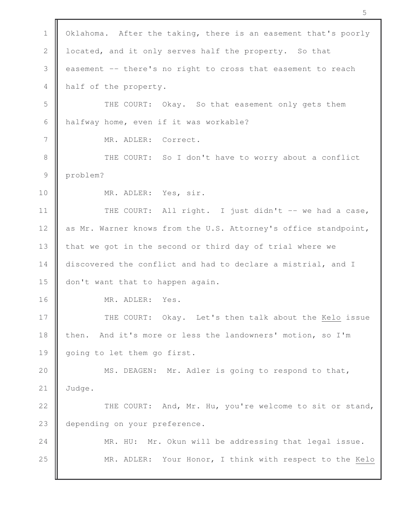| $\mathbf 1$    | Oklahoma. After the taking, there is an easement that's poorly  |
|----------------|-----------------------------------------------------------------|
| $\mathbf 2$    | located, and it only serves half the property. So that          |
| $\mathfrak{Z}$ | easement -- there's no right to cross that easement to reach    |
| $\overline{4}$ | half of the property.                                           |
| 5              | THE COURT: Okay. So that easement only gets them                |
| 6              | halfway home, even if it was workable?                          |
| 7              | MR. ADLER: Correct.                                             |
| $\,8\,$        | THE COURT: So I don't have to worry about a conflict            |
| $\mathcal{G}$  | problem?                                                        |
| 10             | MR. ADLER: Yes, sir.                                            |
| 11             | THE COURT: All right. I just didn't -- we had a case,           |
| 12             | as Mr. Warner knows from the U.S. Attorney's office standpoint, |
| 13             | that we got in the second or third day of trial where we        |
| 14             | discovered the conflict and had to declare a mistrial, and I    |
| 15             | don't want that to happen again.                                |
| 16             | MR. ADLER: Yes.                                                 |
| 17             | THE COURT: Okay. Let's then talk about the Kelo issue           |
| 18             | And it's more or less the landowners' motion, so I'm<br>then.   |
| 19             | going to let them go first.                                     |
| 20             | MS. DEAGEN: Mr. Adler is going to respond to that,              |
| 21             | Judge.                                                          |
| 22             | THE COURT: And, Mr. Hu, you're welcome to sit or stand,         |
| 23             | depending on your preference.                                   |
| 24             | MR. HU: Mr. Okun will be addressing that legal issue.           |
| 25             | MR. ADLER: Your Honor, I think with respect to the Kelo         |
|                |                                                                 |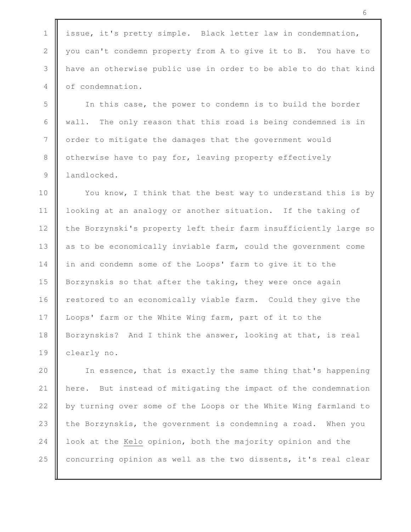1 | issue, it's pretty simple. Black letter law in condemnation, 2 you can't condemn property from A to give it to B. You have to 3 have an otherwise public use in order to be able to do that kind 4 | of condemnation.

5 In this case, the power to condemn is to build the border 6  $\parallel$  wall. The only reason that this road is being condemned is in 7 | order to mitigate the damages that the government would 8 | otherwise have to pay for, leaving property effectively 9 landlocked.

10 || You know, I think that the best way to understand this is by 11 looking at an analogy or another situation. If the taking of 12 the Borzynski's property left their farm insufficiently large so 13 as to be economically inviable farm, could the government come 14 | in and condemn some of the Loops' farm to give it to the 15 Borzynskis so that after the taking, they were once again 16 **r**estored to an economically viable farm. Could they give the 17 Loops' farm or the White Wing farm, part of it to the 18 Borzynskis? And I think the answer, looking at that, is real 19 clearly no.

20 || In essence, that is exactly the same thing that's happening here. But instead of mitigating the impact of the condemnation  $\parallel$  by turning over some of the Loops or the White Wing farmland to  $\parallel$  the Borzynskis, the government is condemning a road. When you **l** look at the Kelo opinion, both the majority opinion and the  $\parallel$  concurring opinion as well as the two dissents, it's real clear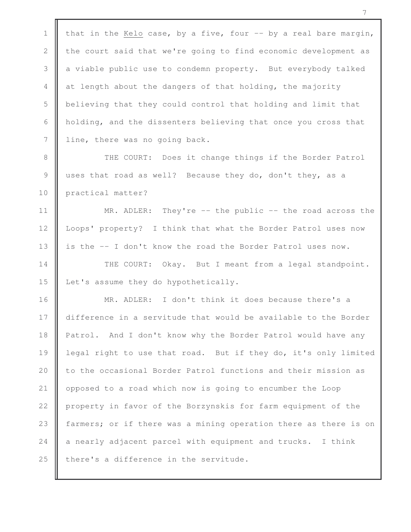1 that in the Kelo case, by a five, four  $-$  by a real bare margin, 2  $\parallel$  the court said that we're going to find economic development as 3 a viable public use to condemn property. But everybody talked 4  $\parallel$  at length about the dangers of that holding, the majority 5 **b** believing that they could control that holding and limit that 6 | holding, and the dissenters believing that once you cross that 7 line, there was no going back.

8 THE COURT: Does it change things if the Border Patrol 9 || uses that road as well? Because they do, don't they, as a 10 practical matter?

11 || MR. ADLER: They're -- the public -- the road across the 12 | Loops' property? I think that what the Border Patrol uses now 13 || is the -- I don't know the road the Border Patrol uses now.

14 THE COURT: Okay. But I meant from a legal standpoint. 15 **Let's** assume they do hypothetically.

16 **MR.** ADLER: I don't think it does because there's a 17 difference in a servitude that would be available to the Border 18 | Patrol. And I don't know why the Border Patrol would have any 19 | legal right to use that road. But if they do, it's only limited 20 | to the occasional Border Patrol functions and their mission as 21 | opposed to a road which now is going to encumber the Loop 22 | property in favor of the Borzynskis for farm equipment of the 23 **farmers;** or if there was a mining operation there as there is on 24  $\parallel$  a nearly adjacent parcel with equipment and trucks. I think 25  $\parallel$  there's a difference in the servitude.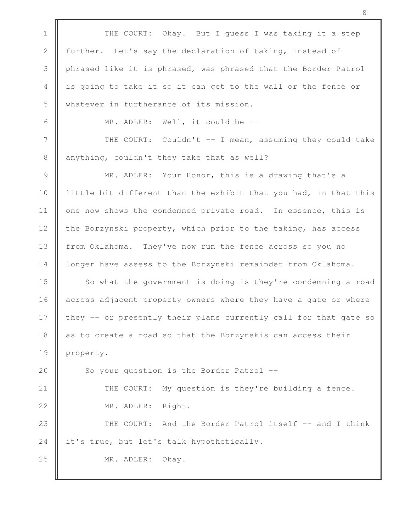1 THE COURT: Okay. But I quess I was taking it a step 2 further. Let's say the declaration of taking, instead of 3 phrased like it is phrased, was phrased that the Border Patrol 4 || is going to take it so it can get to the wall or the fence or 5 Whatever in furtherance of its mission. 6  $\parallel$  MR. ADLER: Well, it could be  $-$ 7 || THE COURT: Couldn't -- I mean, assuming they could take  $8 \parallel$  anything, couldn't they take that as well? 9 || MR. ADLER: Your Honor, this is a drawing that's a 10 | little bit different than the exhibit that you had, in that this 11 | one now shows the condemned private road. In essence, this is 12 the Borzynski property, which prior to the taking, has access 13 from Oklahoma. They've now run the fence across so you no 14 | longer have assess to the Borzynski remainder from Oklahoma. 15 So what the government is doing is they're condemning a road 16 across adjacent property owners where they have a gate or where 17  $\parallel$  they -- or presently their plans currently call for that gate so 18 as to create a road so that the Borzynskis can access their 19 || property. 20 So your question is the Border Patrol --21 | THE COURT: My question is they're building a fence. 22 MR. ADLER: Right. 23 || THE COURT: And the Border Patrol itself -- and I think 24 it's true, but let's talk hypothetically. 25 MR. ADLER: Okay.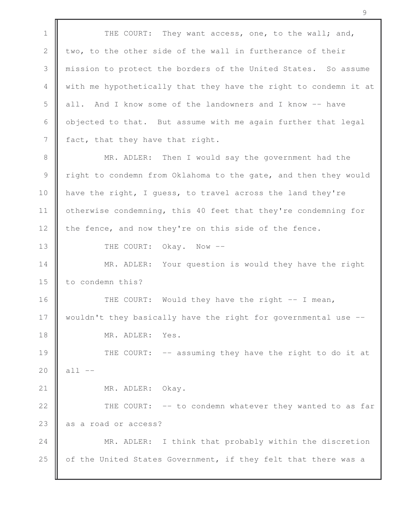1 THE COURT: They want access, one, to the wall; and, 2  $\parallel$  two, to the other side of the wall in furtherance of their 3 mission to protect the borders of the United States. So assume 4 with me hypothetically that they have the right to condemn it at 5 all. And I know some of the landowners and I know -- have 6 | objected to that. But assume with me again further that legal  $7 \parallel$  fact, that they have that right. 8 **MR.** ADLER: Then I would say the government had the 9 Tight to condemn from Oklahoma to the gate, and then they would 10 **have the right, I guess, to travel across the land they're** 11 | otherwise condemning, this 40 feet that they're condemning for 12 the fence, and now they're on this side of the fence. 13 **I** THE COURT: Okay. Now --14 || MR. ADLER: Your question is would they have the right 15 **l** to condemn this? 16 THE COURT: Would they have the right -- I mean, 17 wouldn't they basically have the right for governmental use --18 MR. ADLER: Yes. 19 || THE COURT: -- assuming they have the right to do it at 20  $\|$  all  $-$ 21 || MR. ADLER: Okay. 22 || THE COURT: -- to condemn whatever they wanted to as far 23 as a road or access? 24 **MR.** ADLER: I think that probably within the discretion 25  $\parallel$  of the United States Government, if they felt that there was a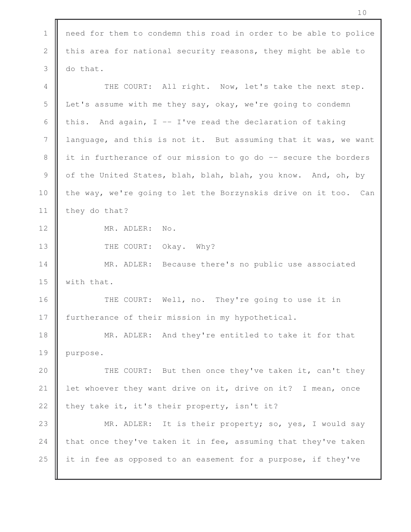1 | need for them to condemn this road in order to be able to police 2 this area for national security reasons, they might be able to  $3 \parallel$  do that. 4 THE COURT: All right. Now, let's take the next step. 5 Let's assume with me they say, okay, we're going to condemn 6 this. And again, I -- I've read the declaration of taking 7 language, and this is not it. But assuming that it was, we want 8 | it in furtherance of our mission to go do -- secure the borders 9 of the United States, blah, blah, blah, you know. And, oh, by 10 the way, we're going to let the Borzynskis drive on it too. Can 11 they do that? 12 MR. ADLER: No. 13 **THE COURT:** Okay. Why? 14 **MR.** ADLER: Because there's no public use associated 15  $\parallel$  with that. 16 THE COURT: Well, no. They're going to use it in 17 | furtherance of their mission in my hypothetical. 18 || MR. ADLER: And they're entitled to take it for that 19 | purpose. 20 || THE COURT: But then once they've taken it, can't they 21 | let whoever they want drive on it, drive on it? I mean, once 22  $\parallel$  they take it, it's their property, isn't it? 23 || MR. ADLER: It is their property; so, yes, I would say 24 that once they've taken it in fee, assuming that they've taken 25 it in fee as opposed to an easement for a purpose, if they've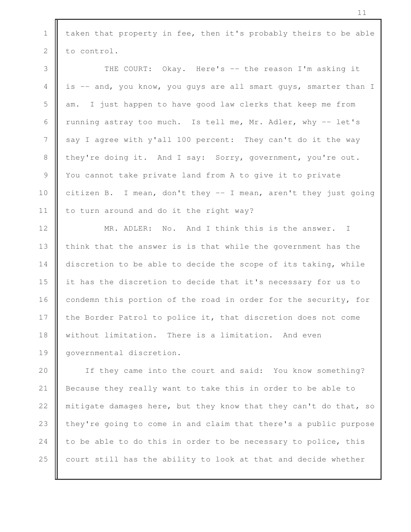1  $\parallel$  taken that property in fee, then it's probably theirs to be able  $2 \parallel$  to control.

3 THE COURT: Okay. Here's -- the reason I'm asking it 4 is -- and, you know, you guys are all smart guys, smarter than I  $5$   $\parallel$  am. I just happen to have good law clerks that keep me from 6 Tunning astray too much. Is tell me, Mr. Adler, why  $-$  let's 7 say I agree with y'all 100 percent: They can't do it the way 8 they're doing it. And I say: Sorry, government, you're out. 9 || You cannot take private land from A to give it to private 10 citizen B. I mean, don't they -- I mean, aren't they just going 11 | to turn around and do it the right way?

12 || MR. ADLER: No. And I think this is the answer. I 13 | think that the answer is is that while the government has the 14 discretion to be able to decide the scope of its taking, while 15 it has the discretion to decide that it's necessary for us to 16 condemn this portion of the road in order for the security, for 17 the Border Patrol to police it, that discretion does not come 18 without limitation. There is a limitation. And even 19 || governmental discretion.

20 || If they came into the court and said: You know something? Because they really want to take this in order to be able to  $\parallel$  mitigate damages here, but they know that they can't do that, so  $\parallel$  they're going to come in and claim that there's a public purpose  $\parallel$  to be able to do this in order to be necessary to police, this  $\parallel$  court still has the ability to look at that and decide whether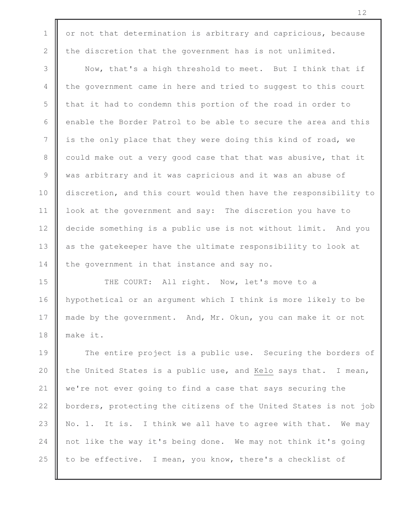1  $\parallel$  or not that determination is arbitrary and capricious, because 2 the discretion that the government has is not unlimited.

3 Now, that's a high threshold to meet. But I think that if 4 the government came in here and tried to suggest to this court  $5 \parallel$  that it had to condemn this portion of the road in order to 6  $\parallel$  enable the Border Patrol to be able to secure the area and this 7 || is the only place that they were doing this kind of road, we 8 could make out a very good case that that was abusive, that it 9 was arbitrary and it was capricious and it was an abuse of 10 **discretion, and this court would then have the responsibility to** 11 | look at the government and say: The discretion you have to 12 decide something is a public use is not without limit. And you 13 || as the gatekeeper have the ultimate responsibility to look at  $14$  | the government in that instance and say no.

15 **THE COURT:** All right. Now, let's move to a 16 hypothetical or an argument which I think is more likely to be 17 made by the government. And, Mr. Okun, you can make it or not 18 make it.

19 The entire project is a public use. Securing the borders of 20  $\parallel$  the United States is a public use, and Kelo says that. I mean, 21 we're not ever going to find a case that says securing the 22  $\parallel$  borders, protecting the citizens of the United States is not job 23  $\parallel$  No. 1. It is. I think we all have to agree with that. We may 24 not like the way it's being done. We may not think it's going 25  $\parallel$  to be effective. I mean, you know, there's a checklist of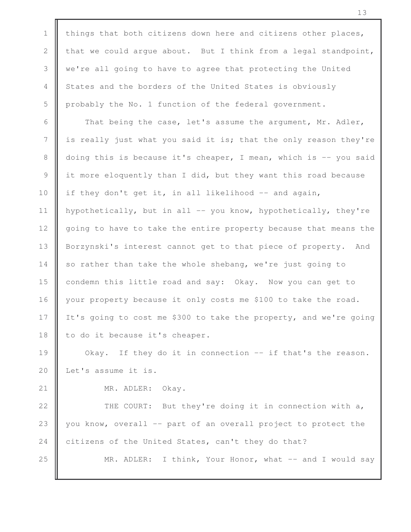1 | things that both citizens down here and citizens other places, 2 that we could argue about. But I think from a legal standpoint, 3 we're all going to have to agree that protecting the United 4 States and the borders of the United States is obviously 5 probably the No. 1 function of the federal government. 6  $\parallel$  That being the case, let's assume the argument, Mr. Adler, 7 || is really just what you said it is; that the only reason they're 8 doing this is because it's cheaper, I mean, which is -- you said 9 it more eloquently than I did, but they want this road because 10 | if they don't get it, in all likelihood  $-$  and again, 11 | hypothetically, but in all -- you know, hypothetically, they're 12 | going to have to take the entire property because that means the 13 | Borzynski's interest cannot get to that piece of property. And  $14$  so rather than take the whole shebang, we're just going to 15 **condemn** this little road and say: Okay. Now you can get to 16 your property because it only costs me \$100 to take the road. 17 It's going to cost me \$300 to take the property, and we're going 18  $\parallel$  to do it because it's cheaper. 19 **Okay.** If they do it in connection -- if that's the reason. 20 Let's assume it is. 21 || MR. ADLER: Okay. 22 | THE COURT: But they're doing it in connection with a, 23 you know, overall -- part of an overall project to protect the 24 citizens of the United States, can't they do that? 25 **M** MR. ADLER: I think, Your Honor, what -- and I would say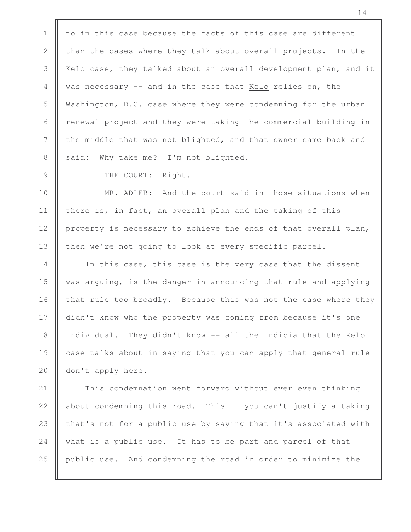1 | no in this case because the facts of this case are different 2 than the cases where they talk about overall projects. In the 3 Kelo case, they talked about an overall development plan, and it 4 was necessary -- and in the case that Kelo relies on, the 5 Washington, D.C. case where they were condemning for the urban  $6$   $\parallel$  renewal project and they were taking the commercial building in 7 the middle that was not blighted, and that owner came back and 8 said: Why take me? I'm not blighted.

9 | THE COURT: Right.

10 **MR.** ADLER: And the court said in those situations when 11 | there is, in fact, an overall plan and the taking of this 12 property is necessary to achieve the ends of that overall plan, 13 | then we're not going to look at every specific parcel.

14 || In this case, this case is the very case that the dissent 15 was arguing, is the danger in announcing that rule and applying 16  $\parallel$  that rule too broadly. Because this was not the case where they 17 didn't know who the property was coming from because it's one 18 | individual. They didn't know -- all the indicia that the Kelo 19 case talks about in saying that you can apply that general rule 20 don't apply here.

21 This condemnation went forward without ever even thinking 22  $\parallel$  about condemning this road. This -- you can't justify a taking 23  $\parallel$  that's not for a public use by saying that it's associated with 24 what is a public use. It has to be part and parcel of that 25 public use. And condemning the road in order to minimize the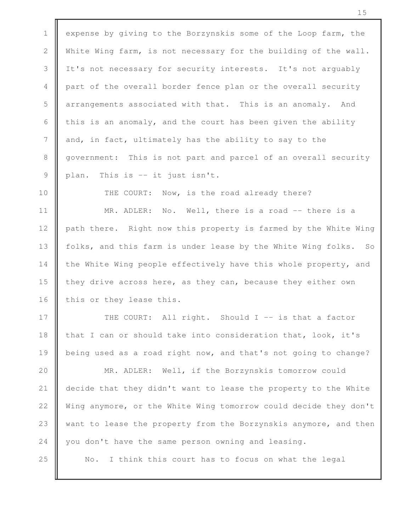1 expense by giving to the Borzynskis some of the Loop farm, the 2 | White Wing farm, is not necessary for the building of the wall. 3 If It's not necessary for security interests. It's not arguably 4 part of the overall border fence plan or the overall security 5 | arrangements associated with that. This is an anomaly. And 6 this is an anomaly, and the court has been given the ability 7 and, in fact, ultimately has the ability to say to the 8 government: This is not part and parcel of an overall security  $9 \parallel$  plan. This is -- it just isn't.

10 THE COURT: Now, is the road already there?

11 || MR. ADLER: No. Well, there is a road -- there is a 12 | path there. Right now this property is farmed by the White Wing 13 | folks, and this farm is under lease by the White Wing folks. So 14 the White Wing people effectively have this whole property, and 15 they drive across here, as they can, because they either own 16  $\parallel$  this or they lease this.

17 THE COURT: All right. Should I -- is that a factor 18  $\parallel$  that I can or should take into consideration that, look, it's 19 **being used as a road right now, and that's not going to change?** 

20 MR. ADLER: Well, if the Borzynskis tomorrow could 21 decide that they didn't want to lease the property to the White 22  $\parallel$  Wing anymore, or the White Wing tomorrow could decide they don't 23 want to lease the property from the Borzynskis anymore, and then 24 you don't have the same person owning and leasing.

25 || No. I think this court has to focus on what the legal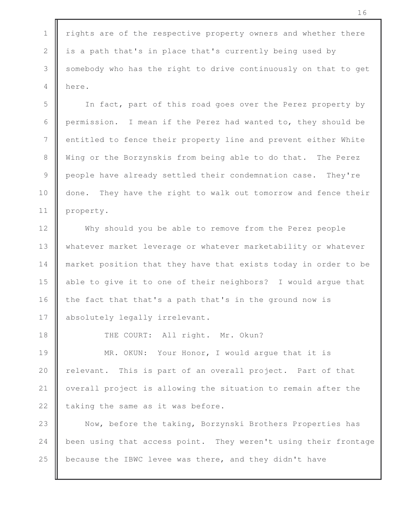1 | rights are of the respective property owners and whether there 2 is a path that's in place that's currently being used by 3 Somebody who has the right to drive continuously on that to get 4 **H** here.

5 In fact, part of this road goes over the Perez property by 6 permission. I mean if the Perez had wanted to, they should be 7 | entitled to fence their property line and prevent either White 8 Wing or the Borzynskis from being able to do that. The Perez 9 people have already settled their condemnation case. They're 10 done. They have the right to walk out tomorrow and fence their 11 property.

12 Why should you be able to remove from the Perez people 13 Whatever market leverage or whatever marketability or whatever 14 **market position that they have that exists today in order to be** 15 | able to give it to one of their neighbors? I would argue that 16  $\parallel$  the fact that that's a path that's in the ground now is 17 | absolutely legally irrelevant.

18 | THE COURT: All right. Mr. Okun?

**MR.** OKUN: Your Honor, I would argue that it is **relevant.** This is part of an overall project. Part of that 21 | overall project is allowing the situation to remain after the  $\parallel$  taking the same as it was before.

23 Now, before the taking, Borzynski Brothers Properties has 24 been using that access point. They weren't using their frontage 25 because the IBWC levee was there, and they didn't have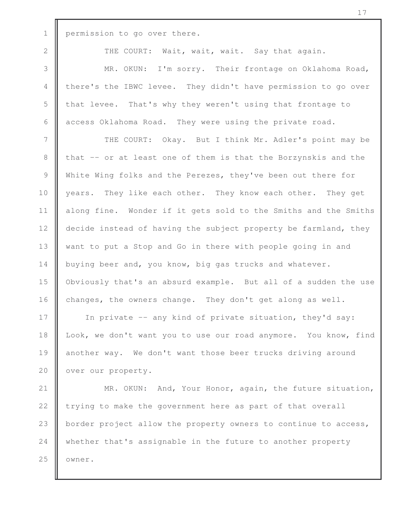1 permission to go over there.

2 || THE COURT: Wait, wait, wait. Say that again.

3 MR. OKUN: I'm sorry. Their frontage on Oklahoma Road, 4 there's the IBWC levee. They didn't have permission to go over 5 that levee. That's why they weren't using that frontage to 6 access Oklahoma Road. They were using the private road.

7 || THE COURT: Okay. But I think Mr. Adler's point may be 8 that -- or at least one of them is that the Borzynskis and the 9 White Wing folks and the Perezes, they've been out there for 10 || years. They like each other. They know each other. They get 11 | along fine. Wonder if it gets sold to the Smiths and the Smiths 12 | decide instead of having the subject property be farmland, they 13 We want to put a Stop and Go in there with people going in and 14 buying beer and, you know, big gas trucks and whatever. 15 Obviously that's an absurd example. But all of a sudden the use 16 changes, the owners change. They don't get along as well.

17 In private -- any kind of private situation, they'd say: 18 | Look, we don't want you to use our road anymore. You know, find 19 another way. We don't want those beer trucks driving around 20 **over our property.** 

21 | MR. OKUN: And, Your Honor, again, the future situation, 22  $\parallel$  trying to make the government here as part of that overall 23 **border project allow the property owners to continue to access,** 24 whether that's assignable in the future to another property  $25$   $\blacksquare$  owner.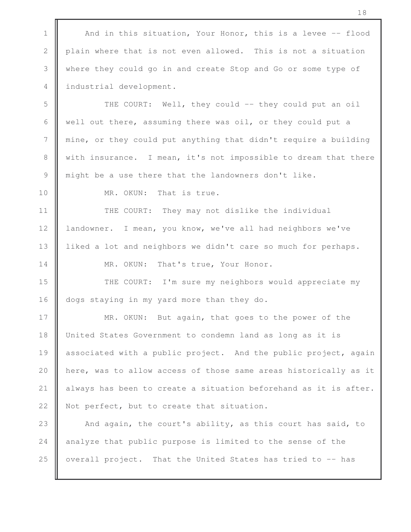1  $\parallel$  And in this situation, Your Honor, this is a levee -- flood 2 plain where that is not even allowed. This is not a situation 3 where they could go in and create Stop and Go or some type of 4 industrial development. 5 THE COURT: Well, they could -- they could put an oil 6 well out there, assuming there was oil, or they could put a 7 mine, or they could put anything that didn't require a building 8 with insurance. I mean, it's not impossible to dream that there 9 might be a use there that the landowners don't like. 10 **II** MR. OKUN: That is true. 11 | THE COURT: They may not dislike the individual 12 | landowner. I mean, you know, we've all had neighbors we've 13 | liked a lot and neighbors we didn't care so much for perhaps. 14 MR. OKUN: That's true, Your Honor. 15 **THE COURT:** I'm sure my neighbors would appreciate my 16 dogs staying in my yard more than they do. 17 **MR.** OKUN: But again, that goes to the power of the 18 | United States Government to condemn land as long as it is 19 associated with a public project. And the public project, again 20 **h** here, was to allow access of those same areas historically as it 21  $\parallel$  always has been to create a situation beforehand as it is after. 22 | Not perfect, but to create that situation. 23 || And again, the court's ability, as this court has said, to 24  $\parallel$  analyze that public purpose is limited to the sense of the 25  $\parallel$  overall project. That the United States has tried to  $-$  has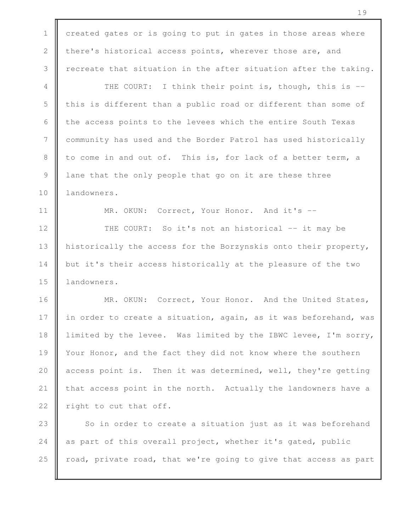1 created gates or is going to put in gates in those areas where 2 there's historical access points, wherever those are, and 3  $\parallel$  recreate that situation in the after situation after the taking. 4 THE COURT: I think their point is, though, this is --5 this is different than a public road or different than some of 6  $\parallel$  the access points to the levees which the entire South Texas 7 community has used and the Border Patrol has used historically 8 to come in and out of. This is, for lack of a better term, a 9 I lane that the only people that go on it are these three 10 | landowners. 11 || MR. OKUN: Correct, Your Honor. And it's --12 || THE COURT: So it's not an historical -- it may be 13 | historically the access for the Borzynskis onto their property, 14 but it's their access historically at the pleasure of the two 15 | landowners. 16 MR. OKUN: Correct, Your Honor. And the United States, 17 || in order to create a situation, again, as it was beforehand, was 18 | limited by the levee. Was limited by the IBWC levee, I'm sorry, 19 | Your Honor, and the fact they did not know where the southern 20 **a** access point is. Then it was determined, well, they're getting 21 that access point in the north. Actually the landowners have a 22  $\parallel$  right to cut that off. 23  $\parallel$  So in order to create a situation just as it was beforehand 24  $\parallel$  as part of this overall project, whether it's gated, public 25  $\parallel$  road, private road, that we're going to give that access as part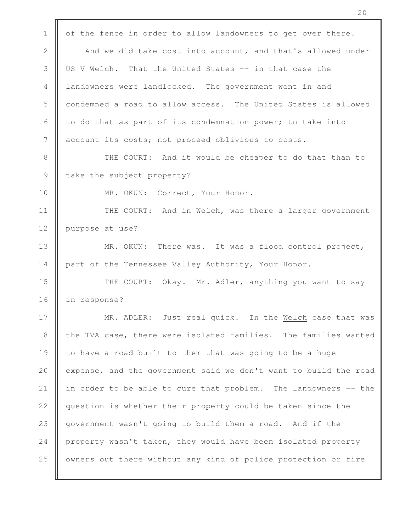1 | of the fence in order to allow landowners to get over there. 2 **And we did take cost into account, and that's allowed under** 3 US V Welch. That the United States -- in that case the 4 landowners were landlocked. The government went in and 5 condemned a road to allow access. The United States is allowed 6  $\parallel$  to do that as part of its condemnation power; to take into 7 account its costs; not proceed oblivious to costs. 8 || THE COURT: And it would be cheaper to do that than to  $9$  take the subject property? 10 | MR. OKUN: Correct, Your Honor. 11 || THE COURT: And in Welch, was there a larger government 12 **purpose at use?** 13 || MR. OKUN: There was. It was a flood control project, 14 part of the Tennessee Valley Authority, Your Honor. 15 **THE COURT:** Okay. Mr. Adler, anything you want to say 16 in response? 17 || MR. ADLER: Just real quick. In the Welch case that was 18 the TVA case, there were isolated families. The families wanted 19 || to have a road built to them that was going to be a huge 20 expense, and the government said we don't want to build the road 21 in order to be able to cure that problem. The landowners  $-$  the 22 | question is whether their property could be taken since the 23 | government wasn't going to build them a road. And if the 24 property wasn't taken, they would have been isolated property 25 | owners out there without any kind of police protection or fire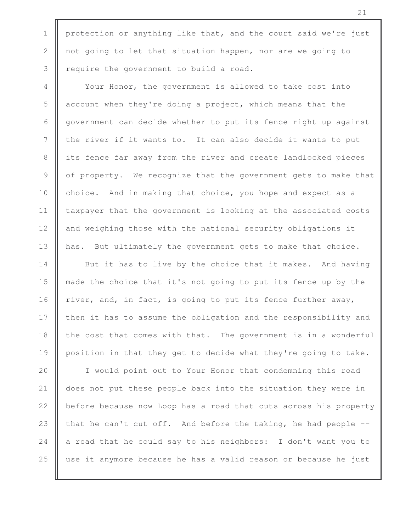1 | protection or anything like that, and the court said we're just 2 not going to let that situation happen, nor are we going to  $3 \parallel$  require the government to build a road.

4 Your Honor, the government is allowed to take cost into  $5 \parallel$  account when they're doing a project, which means that the 6 government can decide whether to put its fence right up against 7 || the river if it wants to. It can also decide it wants to put 8 its fence far away from the river and create landlocked pieces 9 | of property. We recognize that the government gets to make that 10 choice. And in making that choice, you hope and expect as a 11 | taxpayer that the government is looking at the associated costs 12 and weighing those with the national security obligations it 13 | has. But ultimately the government gets to make that choice.

**But it has to live by the choice that it makes.** And having made the choice that it's not going to put its fence up by the  $\parallel$  river, and, in fact, is going to put its fence further away, **then it has to assume the obligation and the responsibility and**  $\parallel$  the cost that comes with that. The government is in a wonderful 19 | position in that they get to decide what they're going to take.

20 || I would point out to Your Honor that condemning this road 21 | does not put these people back into the situation they were in 22 **b** before because now Loop has a road that cuts across his property 23 that he can't cut off. And before the taking, he had people  $-$ 24  $\parallel$  a road that he could say to his neighbors: I don't want you to 25 use it anymore because he has a valid reason or because he just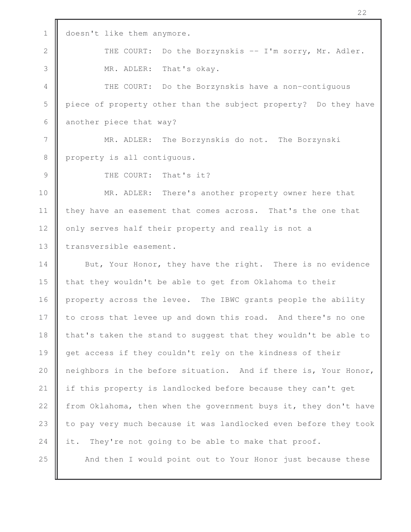1 doesn't like them anymore. 2 THE COURT: Do the Borzynskis -- I'm sorry, Mr. Adler. 3 MR. ADLER: That's okay. 4 THE COURT: Do the Borzynskis have a non-contiguous 5 piece of property other than the subject property? Do they have 6 another piece that way? 7 | MR. ADLER: The Borzynskis do not. The Borzynski 8 | property is all contiguous. 9 **I** THE COURT: That's it? 10 || MR. ADLER: There's another property owner here that 11 | they have an easement that comes across. That's the one that 12 | only serves half their property and really is not a 13 | transversible easement. 14 But, Your Honor, they have the right. There is no evidence 15 **that they wouldn't be able to get from Oklahoma to their** 16 property across the levee. The IBWC grants people the ability 17 to cross that levee up and down this road. And there's no one 18 | that's taken the stand to suggest that they wouldn't be able to 19 get access if they couldn't rely on the kindness of their 20 | neighbors in the before situation. And if there is, Your Honor, 21 if this property is landlocked before because they can't get 22 from Oklahoma, then when the government buys it, they don't have 23 to pay very much because it was landlocked even before they took 24 it. They're not going to be able to make that proof. 25 || And then I would point out to Your Honor just because these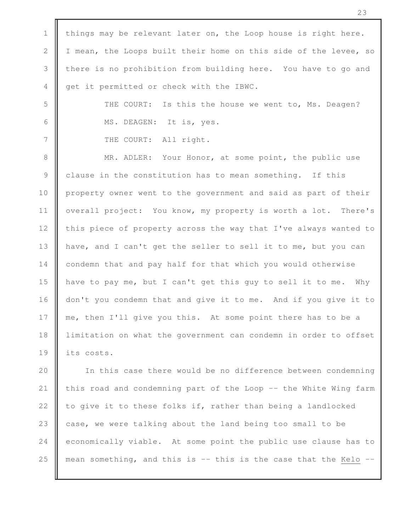1 | things may be relevant later on, the Loop house is right here. 2 | I mean, the Loops built their home on this side of the levee, so 3 there is no prohibition from building here. You have to go and 4 get it permitted or check with the IBWC. 5  $\parallel$  THE COURT: Is this the house we went to, Ms. Deagen? 6 || MS. DEAGEN: It is, yes. 7 | THE COURT: All right. 8 || MR. ADLER: Your Honor, at some point, the public use 9 clause in the constitution has to mean something. If this 10 property owner went to the government and said as part of their 11 | overall project: You know, my property is worth a lot. There's 12 this piece of property across the way that I've always wanted to 13 | have, and I can't get the seller to sell it to me, but you can 14 condemn that and pay half for that which you would otherwise 15 have to pay me, but I can't get this guy to sell it to me. Why 16 don't you condemn that and give it to me. And if you give it to 17 me, then I'll give you this. At some point there has to be a 18 | limitation on what the government can condemn in order to offset 19 || its costs. 20 || In this case there would be no difference between condemning 21  $\parallel$  this road and condemning part of the Loop -- the White Wing farm 22  $\parallel$  to give it to these folks if, rather than being a landlocked

23  $\parallel$  case, we were talking about the land being too small to be 24 economically viable. At some point the public use clause has to 25  $\parallel$  mean something, and this is -- this is the case that the Kelo --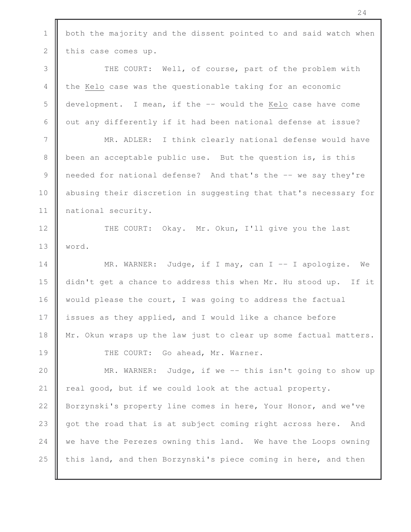1 | both the majority and the dissent pointed to and said watch when 2 this case comes up. 3 THE COURT: Well, of course, part of the problem with 4 the Kelo case was the questionable taking for an economic 5 development. I mean, if the -- would the Kelo case have come 6  $\parallel$  out any differently if it had been national defense at issue? 7 MR. ADLER: I think clearly national defense would have 8 **b** been an acceptable public use. But the question is, is this 9 needed for national defense? And that's the -- we say they're 10 | abusing their discretion in suggesting that that's necessary for 11 | national security. 12 | THE COURT: Okay. Mr. Okun, I'll give you the last 13 word. 14 || MR. WARNER: Judge, if I may, can I -- I apologize. We 15 didn't get a chance to address this when Mr. Hu stood up. If it 16 | would please the court, I was going to address the factual 17 issues as they applied, and I would like a chance before 18 | Mr. Okun wraps up the law just to clear up some factual matters. 19 | THE COURT: Go ahead, Mr. Warner. 20 **MR.** WARNER: Judge, if we -- this isn't going to show up 21  $\parallel$  real good, but if we could look at the actual property. 22 | Borzynski's property line comes in here, Your Honor, and we've 23 got the road that is at subject coming right across here. And 24 we have the Perezes owning this land. We have the Loops owning 25  $\parallel$  this land, and then Borzynski's piece coming in here, and then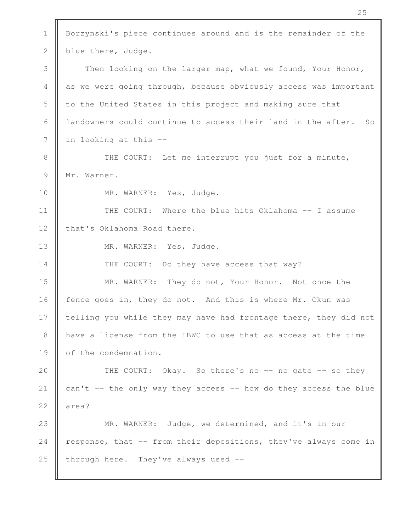1 | Borzynski's piece continues around and is the remainder of the 2 | blue there, Judge. 3 Then looking on the larger map, what we found, Your Honor, 4 as we were going through, because obviously access was important 5 to the United States in this project and making sure that 6 | landowners could continue to access their land in the after. So  $7 \parallel$  in looking at this --8 **THE COURT:** Let me interrupt you just for a minute, 9 Mr. Warner. 10 || MR. WARNER: Yes, Judge. 11 || THE COURT: Where the blue hits Oklahoma -- I assume 12 | that's Oklahoma Road there. 13 || MR. WARNER: Yes, Judge. 14 **THE COURT:** Do they have access that way? 15 **MR.** WARNER: They do not, Your Honor. Not once the 16 fence goes in, they do not. And this is where Mr. Okun was 17 I telling you while they may have had frontage there, they did not 18 have a license from the IBWC to use that as access at the time 19 of the condemnation. 20 || THE COURT: Okay. So there's no -- no gate -- so they 21  $\parallel$  can't -- the only way they access -- how do they access the blue  $22 \parallel$  area? 23 || MR. WARNER: Judge, we determined, and it's in our 24  $\parallel$  response, that -- from their depositions, they've always come in 25 through here. They've always used  $-$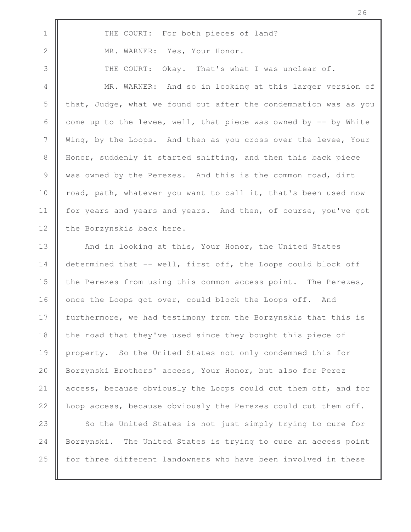1 THE COURT: For both pieces of land? 2 MR. WARNER: Yes, Your Honor. 3 THE COURT: Okay. That's what I was unclear of. 4 MR. WARNER: And so in looking at this larger version of 5  $\parallel$  that, Judge, what we found out after the condemnation was as you 6  $\parallel$  come up to the levee, well, that piece was owned by  $-$  by White 7 Wing, by the Loops. And then as you cross over the levee, Your 8 | Honor, suddenly it started shifting, and then this back piece 9 was owned by the Perezes. And this is the common road, dirt 10 | road, path, whatever you want to call it, that's been used now 11 | for years and years and years. And then, of course, you've got 12 the Borzynskis back here. 13 | And in looking at this, Your Honor, the United States 14 determined that -- well, first off, the Loops could block off 15 **the Perezes from using this common access point.** The Perezes, 16 once the Loops got over, could block the Loops off. And 17 **furthermore, we had testimony from the Borzynskis that this is** 18 | the road that they've used since they bought this piece of 19 property. So the United States not only condemned this for 20 | Borzynski Brothers' access, Your Honor, but also for Perez 21 | access, because obviously the Loops could cut them off, and for 22 | Loop access, because obviously the Perezes could cut them off.

26

23 So the United States is not just simply trying to cure for 24 Borzynski. The United States is trying to cure an access point 25 **for three different landowners who have been involved in these**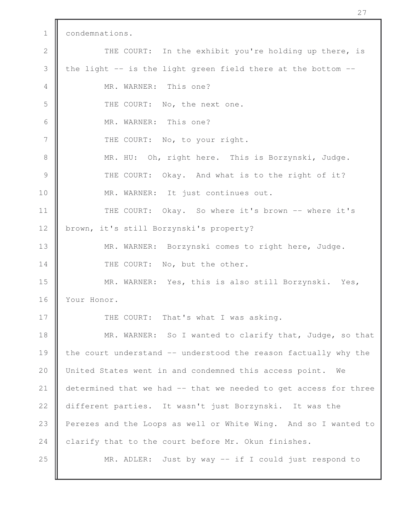1 | condemnations. 2 THE COURT: In the exhibit you're holding up there, is 3  $\parallel$  the light -- is the light green field there at the bottom --4 **MR.** WARNER: This one? 5 | THE COURT: No, the next one. 6 MR. WARNER: This one? 7 | THE COURT: No, to your right. 8 || MR. HU: Oh, right here. This is Borzynski, Judge. 9 THE COURT: Okay. And what is to the right of it? 10 | MR. WARNER: It just continues out. 11 || THE COURT: Okay. So where it's brown -- where it's 12 brown, it's still Borzynski's property? 13 || MR. WARNER: Borzynski comes to right here, Judge. 14 THE COURT: No, but the other. 15 MR. WARNER: Yes, this is also still Borzynski. Yes, 16 Vour Honor. 17 | THE COURT: That's what I was asking. 18 **MR.** WARNER: So I wanted to clarify that, Judge, so that 19 the court understand -- understood the reason factually why the 20 | United States went in and condemned this access point. We 21 determined that we had -- that we needed to get access for three 22 different parties. It wasn't just Borzynski. It was the 23 | Perezes and the Loops as well or White Wing. And so I wanted to 24 clarify that to the court before Mr. Okun finishes. 25 **MR.** ADLER: Just by way -- if I could just respond to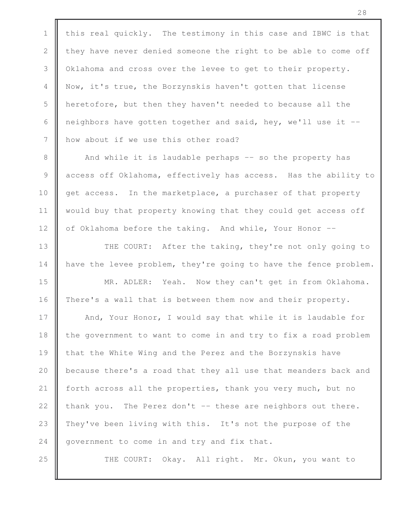1  $\parallel$  this real quickly. The testimony in this case and IBWC is that 2  $\parallel$  they have never denied someone the right to be able to come off 3 | Oklahoma and cross over the levee to get to their property. 4 Now, it's true, the Borzynskis haven't gotten that license 5 heretofore, but then they haven't needed to because all the 6 | neighbors have gotten together and said, hey, we'll use it  $-$ 7 | how about if we use this other road?

8 | And while it is laudable perhaps -- so the property has 9 access off Oklahoma, effectively has access. Has the ability to 10 get access. In the marketplace, a purchaser of that property 11 | would buy that property knowing that they could get access off 12 | of Oklahoma before the taking. And while, Your Honor --

13 || THE COURT: After the taking, they're not only going to 14 | have the levee problem, they're going to have the fence problem.

15 || MR. ADLER: Yeah. Now they can't get in from Oklahoma. 16 There's a wall that is between them now and their property.

17 | And, Your Honor, I would say that while it is laudable for 18 | the government to want to come in and try to fix a road problem 19 | that the White Wing and the Perez and the Borzynskis have 20 **b**ecause there's a road that they all use that meanders back and 21 forth across all the properties, thank you very much, but no 22  $\parallel$  thank you. The Perez don't -- these are neighbors out there. 23 | They've been living with this. It's not the purpose of the 24  $\parallel$  government to come in and try and fix that.

25 || THE COURT: Okay. All right. Mr. Okun, you want to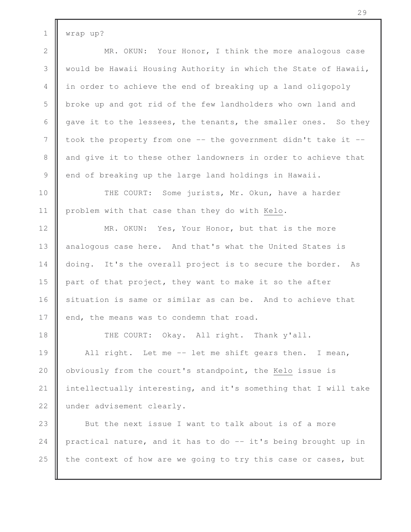1 | wrap up?

2 **MR.** OKUN: Your Honor, I think the more analogous case 3 Would be Hawaii Housing Authority in which the State of Hawaii, 4 || in order to achieve the end of breaking up a land oligopoly 5 broke up and got rid of the few landholders who own land and 6  $\parallel$  gave it to the lessees, the tenants, the smaller ones. So they 7 I took the property from one -- the government didn't take it --8 and give it to these other landowners in order to achieve that 9 end of breaking up the large land holdings in Hawaii.

10 **THE COURT:** Some jurists, Mr. Okun, have a harder 11 | problem with that case than they do with Kelo.

12 **MR.** OKUN: Yes, Your Honor, but that is the more 13 | analogous case here. And that's what the United States is 14 doing. It's the overall project is to secure the border. As 15 part of that project, they want to make it so the after 16 situation is same or similar as can be. And to achieve that 17 end, the means was to condemn that road.

18 || THE COURT: Okay. All right. Thank y'all.

19 || All right. Let me -- let me shift gears then. I mean, 20 | obviously from the court's standpoint, the Kelo issue is 21 intellectually interesting, and it's something that I will take 22 under advisement clearly.

23 But the next issue I want to talk about is of a more 24 practical nature, and it has to do  $-$  it's being brought up in 25  $\parallel$  the context of how are we going to try this case or cases, but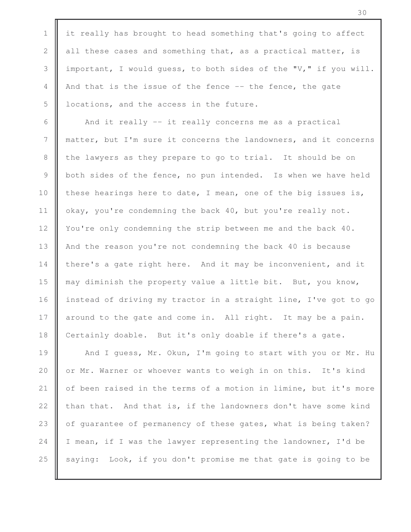1  $\parallel$  it really has brought to head something that's going to affect 2 all these cases and something that, as a practical matter, is 3 important, I would guess, to both sides of the "V," if you will. 4 And that is the issue of the fence -- the fence, the gate 5 | locations, and the access in the future.

6  $\parallel$  And it really -- it really concerns me as a practical 7 matter, but I'm sure it concerns the landowners, and it concerns 8 the lawyers as they prepare to go to trial. It should be on 9 both sides of the fence, no pun intended. Is when we have held 10 these hearings here to date, I mean, one of the big issues is, 11  $\parallel$  okay, you're condemning the back 40, but you're really not. 12 | You're only condemning the strip between me and the back 40. 13 || And the reason you're not condemning the back 40 is because 14 there's a gate right here. And it may be inconvenient, and it 15 may diminish the property value a little bit. But, you know, 16 instead of driving my tractor in a straight line, I've got to go 17  $\parallel$  around to the gate and come in. All right. It may be a pain. 18 Certainly doable. But it's only doable if there's a gate.

19 | And I guess, Mr. Okun, I'm going to start with you or Mr. Hu 20 | or Mr. Warner or whoever wants to weigh in on this. It's kind 21  $\parallel$  of been raised in the terms of a motion in limine, but it's more 22  $\parallel$  than that. And that is, if the landowners don't have some kind 23 | of guarantee of permanency of these gates, what is being taken? 24  $\parallel$  I mean, if I was the lawyer representing the landowner, I'd be 25  $\parallel$  saying: Look, if you don't promise me that gate is going to be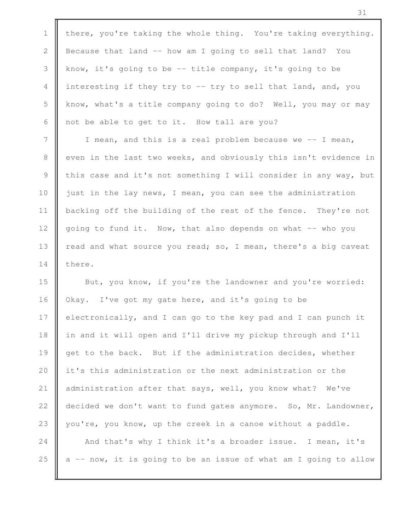1 there, you're taking the whole thing. You're taking everything. 2 Because that land -- how am I going to sell that land? You 3 know, it's going to be -- title company, it's going to be 4 interesting if they try to -- try to sell that land, and, you 5 know, what's a title company going to do? Well, you may or may 6  $\parallel$  not be able to get to it. How tall are you?

7 | T mean, and this is a real problem because we -- I mean, 8 even in the last two weeks, and obviously this isn't evidence in 9 this case and it's not something I will consider in any way, but 10 | just in the lay news, I mean, you can see the administration 11 | backing off the building of the rest of the fence. They're not 12 going to fund it. Now, that also depends on what -- who you 13 | read and what source you read; so, I mean, there's a big caveat 14 l there.

15 **But, you know, if you're the landowner and you're worried:** 16 | Okay. I've got my gate here, and it's going to be 17 electronically, and I can go to the key pad and I can punch it 18 in and it will open and I'll drive my pickup through and I'll 19 get to the back. But if the administration decides, whether 20 **i** it's this administration or the next administration or the 21 | administration after that says, well, you know what? We've 22 decided we don't want to fund gates anymore. So, Mr. Landowner, 23 you're, you know, up the creek in a canoe without a paddle.

24  $\parallel$  And that's why I think it's a broader issue. I mean, it's 25  $\parallel$  a -- now, it is going to be an issue of what am I going to allow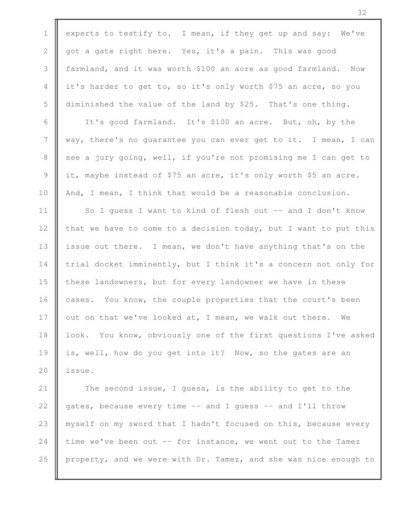1 experts to testify to. I mean, if they get up and say: We've 2 got a gate right here. Yes, it's a pain. This was good 3 farmland, and it was worth \$100 an acre as good farmland. Now 4 it's harder to get to, so it's only worth \$75 an acre, so you 5 diminished the value of the land by \$25. That's one thing. 6 | It's good farmland. It's \$100 an acre. But, oh, by the 7 way, there's no guarantee you can ever get to it. I mean, I can 8 see a jury going, well, if you're not promising me I can get to 9 it, maybe instead of \$75 an acre, it's only worth \$5 an acre. 10 And, I mean, I think that would be a reasonable conclusion. 11 | So I guess I want to kind of flesh out -- and I don't know 12  $\parallel$  that we have to come to a decision today, but I want to put this 13 | issue out there. I mean, we don't have anything that's on the 14 trial docket imminently, but I think it's a concern not only for 15 | these landowners, but for every landowner we have in these 16 cases. You know, the couple properties that the court's been 17  $\parallel$  out on that we've looked at, I mean, we walk out there. We 18 | look. You know, obviously one of the first questions I've asked 19 || is, well, how do you get into it? Now, so the gates are an 20  $\parallel$  issue. 21 The second issue, I quess, is the ability to get to the 22  $\parallel$  gates, because every time -- and I guess -- and I'll throw 23 | myself on my sword that I hadn't focused on this, because every 24 time we've been out  $-$  for instance, we went out to the Tamez

25 property, and we were with Dr. Tamez, and she was nice enough to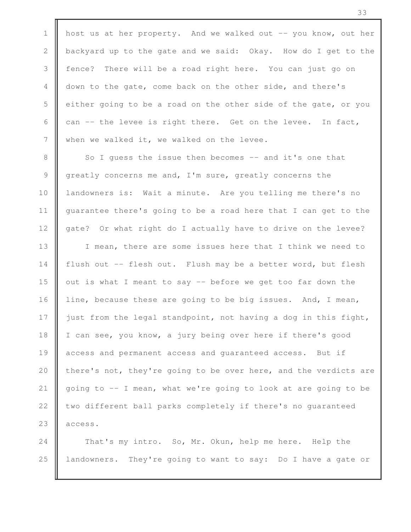1 | host us at her property. And we walked out  $-$ - you know, out her 2 backyard up to the gate and we said: Okay. How do I get to the 3 fence? There will be a road right here. You can just go on 4 down to the gate, come back on the other side, and there's  $5 \parallel$  either going to be a road on the other side of the gate, or you 6  $\parallel$  can -- the levee is right there. Get on the levee. In fact,  $7 \parallel$  when we walked it, we walked on the levee.

8 So I guess the issue then becomes -- and it's one that 9 greatly concerns me and, I'm sure, greatly concerns the 10 **||** landowners is: Wait a minute. Are you telling me there's no 11 | guarantee there's going to be a road here that I can get to the 12 gate? Or what right do I actually have to drive on the levee?

13 || I mean, there are some issues here that I think we need to  $\parallel$  flush out -- flesh out. Flush may be a better word, but flesh  $\parallel$  out is what I meant to say -- before we get too far down the 16 iine, because these are going to be big issues. And, I mean,  $\parallel$  just from the legal standpoint, not having a dog in this fight, 18 | I can see, you know, a jury being over here if there's good **access and permanent access and quaranteed access.** But if 20 there's not, they're going to be over here, and the verdicts are  $\parallel$  going to -- I mean, what we're going to look at are going to be  $\parallel$  two different ball parks completely if there's no guaranteed || access.

24 That's my intro. So, Mr. Okun, help me here. Help the 25 **l** landowners. They're going to want to say: Do I have a gate or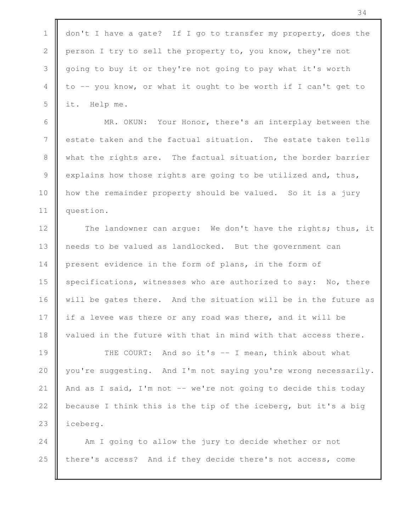1 don't I have a gate? If I go to transfer my property, does the 2 person I try to sell the property to, you know, they're not 3 going to buy it or they're not going to pay what it's worth 4 to -- you know, or what it ought to be worth if I can't get to 5 it. Help me.

6 | MR. OKUN: Your Honor, there's an interplay between the 7 **e** estate taken and the factual situation. The estate taken tells 8 what the rights are. The factual situation, the border barrier 9 explains how those rights are going to be utilized and, thus, 10 **how** the remainder property should be valued. So it is a jury 11 || question.

12 The landowner can argue: We don't have the rights; thus, it 13 | needs to be valued as landlocked. But the government can 14 present evidence in the form of plans, in the form of 15 specifications, witnesses who are authorized to say: No, there 16 will be gates there. And the situation will be in the future as 17 if a levee was there or any road was there, and it will be 18 | valued in the future with that in mind with that access there.

19 || THE COURT: And so it's -- I mean, think about what 20 you're suggesting. And I'm not saying you're wrong necessarily. 21  $\parallel$  And as I said, I'm not -- we're not going to decide this today 22  $\parallel$  because I think this is the tip of the iceberg, but it's a big 23 | iceberg.

24 **Am** I going to allow the jury to decide whether or not 25 there's access? And if they decide there's not access, come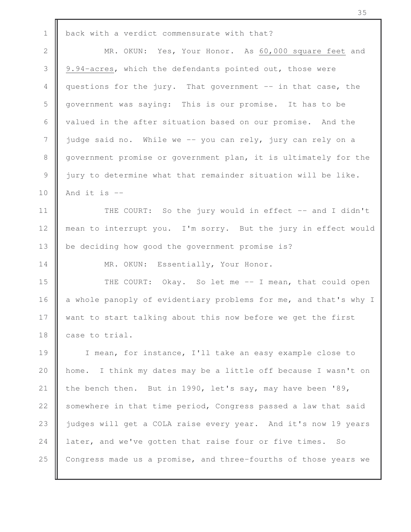| $\mathbf 1$ | back with a verdict commensurate with that?                      |
|-------------|------------------------------------------------------------------|
| 2           | MR. OKUN: Yes, Your Honor. As 60,000 square feet and             |
| 3           | 9.94-acres, which the defendants pointed out, those were         |
| 4           | questions for the jury. That government -- in that case, the     |
| 5           | government was saying: This is our promise. It has to be         |
| 6           | valued in the after situation based on our promise. And the      |
| 7           | judge said no. While we -- you can rely, jury can rely on a      |
| $8\,$       | government promise or government plan, it is ultimately for the  |
| 9           | jury to determine what that remainder situation will be like.    |
| 10          | And it is $-$                                                    |
| 11          | THE COURT: So the jury would in effect -- and I didn't           |
| 12          | mean to interrupt you. I'm sorry. But the jury in effect would   |
| 13          | be deciding how good the government promise is?                  |
| 14          | MR. OKUN: Essentially, Your Honor.                               |
| 15          | THE COURT: Okay. So let me -- I mean, that could open            |
| 16          | a whole panoply of evidentiary problems for me, and that's why I |
| 17          | want to start talking about this now before we get the first     |
| 18          | case to trial.                                                   |
| 19          | I mean, for instance, I'll take an easy example close to         |
| 20          | home. I think my dates may be a little off because I wasn't on   |
| 21          | the bench then. But in 1990, let's say, may have been '89,       |
| 22          | somewhere in that time period, Congress passed a law that said   |
| 23          | judges will get a COLA raise every year. And it's now 19 years   |
| 24          | later, and we've gotten that raise four or five times.<br>SO     |
| 25          | Congress made us a promise, and three-fourths of those years we  |
|             |                                                                  |

ī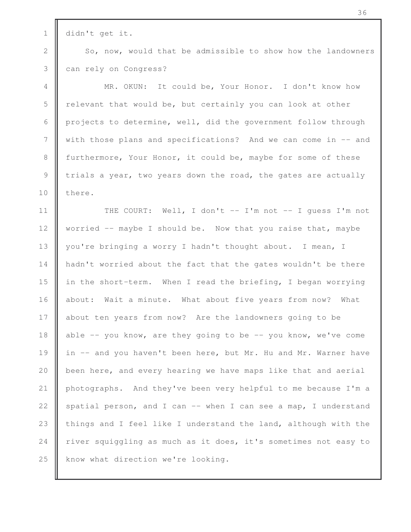1 didn't get it.

2 So, now, would that be admissible to show how the landowners 3 can rely on Congress?

4 MR. OKUN: It could be, Your Honor. I don't know how 5 **F** relevant that would be, but certainly you can look at other 6  $\parallel$  projects to determine, well, did the government follow through 7 Weith those plans and specifications? And we can come in -- and 8 furthermore, Your Honor, it could be, maybe for some of these 9 trials a year, two years down the road, the gates are actually 10 l there.

11 || THE COURT: Well, I don't -- I'm not -- I guess I'm not 12  $\parallel$  worried -- maybe I should be. Now that you raise that, maybe 13 || you're bringing a worry I hadn't thought about. I mean, I 14 | hadn't worried about the fact that the gates wouldn't be there 15 | in the short-term. When I read the briefing, I began worrying 16 about: Wait a minute. What about five years from now? What 17 about ten years from now? Are the landowners going to be 18 able -- you know, are they going to be -- you know, we've come 19 | in -- and you haven't been here, but Mr. Hu and Mr. Warner have 20 **b**een here, and every hearing we have maps like that and aerial 21 photographs. And they've been very helpful to me because I'm a 22  $\parallel$  spatial person, and I can -- when I can see a map, I understand 23  $\parallel$  things and I feel like I understand the land, although with the 24 river squiggling as much as it does, it's sometimes not easy to  $25$  | know what direction we're looking.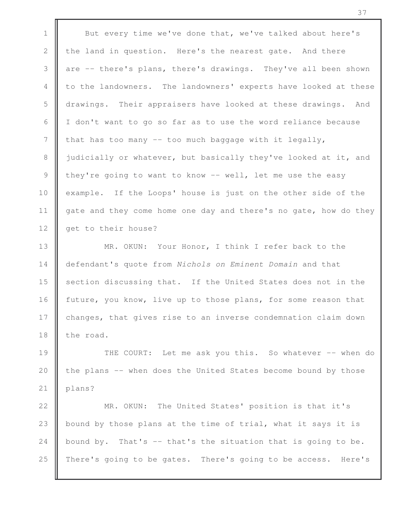1 But every time we've done that, we've talked about here's 2 the land in question. Here's the nearest gate. And there 3 are -- there's plans, there's drawings. They've all been shown 4 to the landowners. The landowners' experts have looked at these 5 drawings. Their appraisers have looked at these drawings. And 6  $\parallel$  I don't want to go so far as to use the word reliance because 7  $\parallel$  that has too many -- too much baggage with it legally, 8 iudicially or whatever, but basically they've looked at it, and 9 they're going to want to know -- well, let me use the easy 10 example. If the Loops' house is just on the other side of the 11 gate and they come home one day and there's no gate, how do they 12 **g**et to their house?

13 || MR. OKUN: Your Honor, I think I refer back to the 14 defendant's quote from *Nichols on Eminent Domain* and that 15 **S** section discussing that. If the United States does not in the 16 future, you know, live up to those plans, for some reason that 17 changes, that gives rise to an inverse condemnation claim down 18  $\parallel$  the road.

19 THE COURT: Let me ask you this. So whatever -- when do 20  $\parallel$  the plans -- when does the United States become bound by those 21 | plans?

22 **MR.** OKUN: The United States' position is that it's 23 | bound by those plans at the time of trial, what it says it is 24 bound by. That's  $-$  that's the situation that is going to be. 25 There's going to be gates. There's going to be access. Here's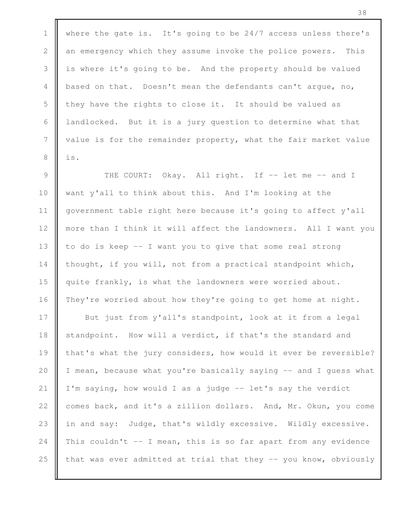1 Where the gate is. It's going to be 24/7 access unless there's 2 an emergency which they assume invoke the police powers. This 3 is where it's going to be. And the property should be valued 4 based on that. Doesn't mean the defendants can't argue, no, 5 they have the rights to close it. It should be valued as 6  $\parallel$  landlocked. But it is a jury question to determine what that 7 | value is for the remainder property, what the fair market value  $8 \parallel$  is.

9 || THE COURT: Okay. All right. If -- let me -- and I 10 want y'all to think about this. And I'm looking at the 11 government table right here because it's going to affect y'all 12 more than I think it will affect the landowners. All I want you 13  $\parallel$  to do is keep -- I want you to give that some real strong 14 | thought, if you will, not from a practical standpoint which, 15 quite frankly, is what the landowners were worried about. 16 They're worried about how they're going to get home at night.

17 **But** just from y'all's standpoint, look at it from a legal 18 **S** standpoint. How will a verdict, if that's the standard and 19 || that's what the jury considers, how would it ever be reversible? 20  $\parallel$  I mean, because what you're basically saying  $-$  and I guess what 21  $\parallel$  I'm saying, how would I as a judge -- let's say the verdict 22 comes back, and it's a zillion dollars. And, Mr. Okun, you come 23 in and say: Judge, that's wildly excessive. Wildly excessive. 24 This couldn't  $-$  I mean, this is so far apart from any evidence 25  $\parallel$  that was ever admitted at trial that they -- you know, obviously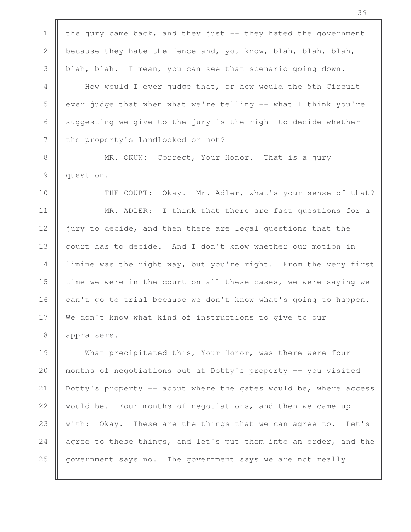1 the jury came back, and they just  $-$  they hated the government 2 because they hate the fence and, you know, blah, blah, blah, 3 blah, blah. I mean, you can see that scenario going down. 4 How would I ever judge that, or how would the 5th Circuit  $5 \parallel$  ever judge that when what we're telling -- what I think you're 6  $\parallel$  suggesting we give to the jury is the right to decide whether 7 | the property's landlocked or not? 8 **MR.** OKUN: Correct, Your Honor. That is a jury 9 question. 10 **THE COURT:** Okay. Mr. Adler, what's your sense of that? 11 || MR. ADLER: I think that there are fact questions for a 12 jury to decide, and then there are legal questions that the 13 | court has to decide. And I don't know whether our motion in 14 | limine was the right way, but you're right. From the very first 15 | time we were in the court on all these cases, we were saying we 16  $\parallel$  can't go to trial because we don't know what's going to happen. 17 We don't know what kind of instructions to give to our 18 || appraisers. 19 What precipitated this, Your Honor, was there were four 20 months of negotiations out at Dotty's property -- you visited 21 Dotty's property -- about where the gates would be, where access 22  $\parallel$  would be. Four months of negotiations, and then we came up 23 Weith: Okay. These are the things that we can agree to. Let's 24  $\parallel$  agree to these things, and let's put them into an order, and the 25 government says no. The government says we are not really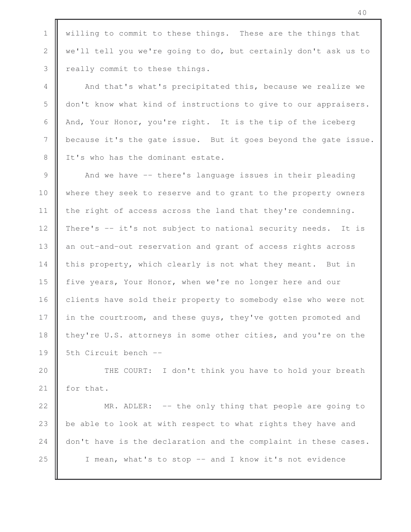1 Willing to commit to these things. These are the things that 2 we'll tell you we're going to do, but certainly don't ask us to 3 | really commit to these things.

4 And that's what's precipitated this, because we realize we 5 | don't know what kind of instructions to give to our appraisers. 6 And, Your Honor, you're right. It is the tip of the iceberg 7 because it's the gate issue. But it goes beyond the gate issue. 8 | It's who has the dominant estate.

9 And we have -- there's language issues in their pleading 10 where they seek to reserve and to grant to the property owners 11 the right of access across the land that they're condemning. 12 There's -- it's not subject to national security needs. It is 13 an out-and-out reservation and grant of access rights across 14 this property, which clearly is not what they meant. But in 15 **f** five years, Your Honor, when we're no longer here and our 16 clients have sold their property to somebody else who were not 17 in the courtroom, and these guys, they've gotten promoted and 18 they're U.S. attorneys in some other cities, and you're on the 19 | 5th Circuit bench --

20 || THE COURT: I don't think you have to hold your breath 21 | for that.

22 **MR.** ADLER: -- the only thing that people are going to 23 | be able to look at with respect to what rights they have and 24 don't have is the declaration and the complaint in these cases. 25 || I mean, what's to stop -- and I know it's not evidence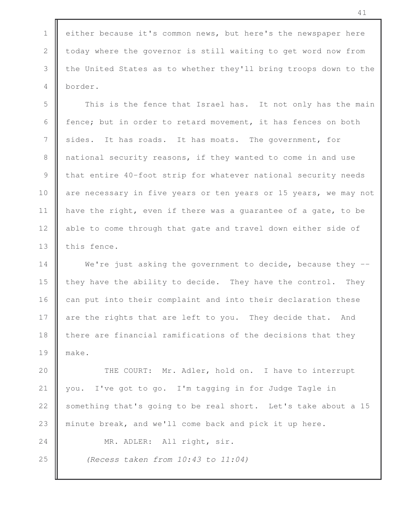1 | either because it's common news, but here's the newspaper here 2 | today where the governor is still waiting to get word now from 3 the United States as to whether they'll bring troops down to the 4 border.

5 This is the fence that Israel has. It not only has the main 6  $\parallel$  fence; but in order to retard movement, it has fences on both 7 sides. It has roads. It has moats. The government, for 8 || national security reasons, if they wanted to come in and use 9 that entire 40-foot strip for whatever national security needs 10 are necessary in five years or ten years or 15 years, we may not 11 | have the right, even if there was a guarantee of a gate, to be 12 able to come through that gate and travel down either side of 13 | this fence.

14 We're just asking the government to decide, because they --15  $\parallel$  they have the ability to decide. They have the control. They 16 can put into their complaint and into their declaration these 17 are the rights that are left to you. They decide that. And  $18$   $\parallel$  there are financial ramifications of the decisions that they 19 make.

20 || THE COURT: Mr. Adler, hold on. I have to interrupt 21 | you. I've got to go. I'm tagging in for Judge Tagle in 22 | something that's going to be real short. Let's take about a 15 23 || minute break, and we'll come back and pick it up here.

24 || MR. ADLER: All right, sir.

25 *(Recess taken from 10:43 to 11:04)*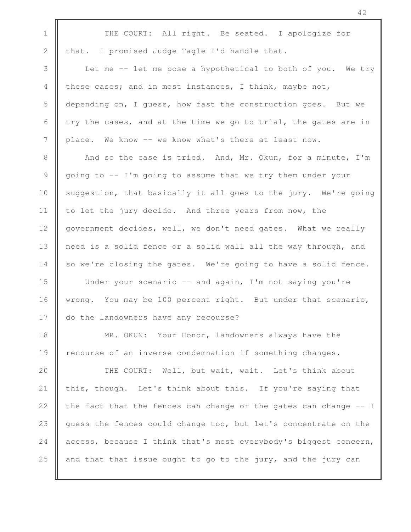1 THE COURT: All right. Be seated. I apologize for 2  $\parallel$  that. I promised Judge Tagle I'd handle that. 3 Let me -- let me pose a hypothetical to both of you. We try 4 these cases; and in most instances, I think, maybe not, 5 depending on, I guess, how fast the construction goes. But we 6  $\parallel$  try the cases, and at the time we go to trial, the gates are in 7 place. We know -- we know what's there at least now. 8 And so the case is tried. And, Mr. Okun, for a minute, I'm 9 going to -- I'm going to assume that we try them under your 10 Suggestion, that basically it all goes to the jury. We're going 11 to let the jury decide. And three years from now, the 12 | government decides, well, we don't need gates. What we really 13 || need is a solid fence or a solid wall all the way through, and  $14$  so we're closing the gates. We're going to have a solid fence. 15 | Under your scenario -- and again, I'm not saying you're 16 wrong. You may be 100 percent right. But under that scenario, 17 do the landowners have any recourse? 18 **MR.** OKUN: Your Honor, landowners always have the 19 | recourse of an inverse condemnation if something changes. 20 || THE COURT: Well, but wait, wait. Let's think about 21  $\parallel$  this, though. Let's think about this. If you're saying that 22  $\parallel$  the fact that the fences can change or the gates can change  $-$ - I 23 guess the fences could change too, but let's concentrate on the 24  $\parallel$  access, because I think that's most everybody's biggest concern, 25  $\parallel$  and that that issue ought to go to the jury, and the jury can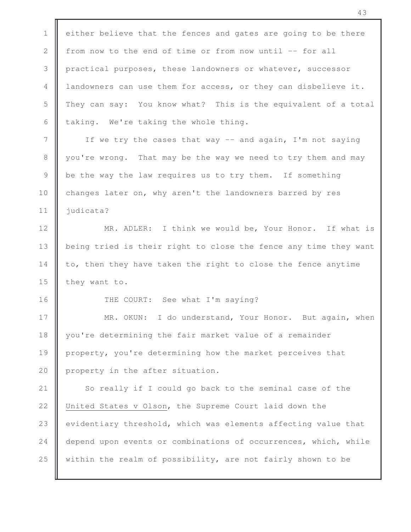1  $\parallel$  either believe that the fences and gates are going to be there 2 from now to the end of time or from now until -- for all 3 practical purposes, these landowners or whatever, successor 4 landowners can use them for access, or they can disbelieve it. 5 They can say: You know what? This is the equivalent of a total 6  $\parallel$  taking. We're taking the whole thing. 7 || If we try the cases that way -- and again, I'm not saying 8 || you're wrong. That may be the way we need to try them and may 9 be the way the law requires us to try them. If something 10 changes later on, why aren't the landowners barred by res 11 | judicata? 12 || MR. ADLER: I think we would be, Your Honor. If what is 13 | being tried is their right to close the fence any time they want 14 to, then they have taken the right to close the fence anytime 15  $\parallel$  they want to. 16 | THE COURT: See what I'm saying? 17 || MR. OKUN: I do understand, Your Honor. But again, when 18 | you're determining the fair market value of a remainder 19 property, you're determining how the market perceives that 20  $\parallel$  property in the after situation. 21 | So really if I could go back to the seminal case of the 22 | United States v Olson, the Supreme Court laid down the 23 evidentiary threshold, which was elements affecting value that 24 depend upon events or combinations of occurrences, which, while 25 within the realm of possibility, are not fairly shown to be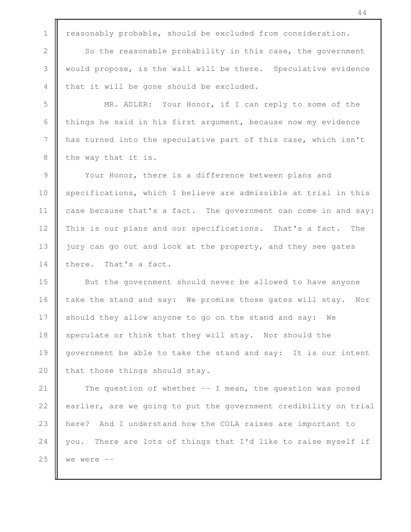1 | reasonably probable, should be excluded from consideration.

2 So the reasonable probability in this case, the government 3 would propose, is the wall will be there. Speculative evidence  $4 \parallel$  that it will be gone should be excluded.

5 | MR. ADLER: Your Honor, if I can reply to some of the 6 things he said in his first argument, because now my evidence 7 has turned into the speculative part of this case, which isn't  $8$  | the way that it is.

9 Your Honor, there is a difference between plans and 10  $\parallel$  specifications, which I believe are admissible at trial in this 11 case because that's a fact. The government can come in and say: 12 This is our plans and our specifications. That's a fact. The 13 jury can go out and look at the property, and they see gates 14 there. That's a fact.

15 But the government should never be allowed to have anyone 16 take the stand and say: We promise those gates will stay. Nor 17 should they allow anyone to go on the stand and say: We 18 Speculate or think that they will stay. Nor should the 19 | government be able to take the stand and say: It is our intent 20  $\parallel$  that those things should stay.

21 The question of whether -- I mean, the question was posed  $\parallel$  earlier, are we going to put the government credibility on trial **h** here? And I understand how the COLA raises are important to  $\parallel$  you. There are lots of things that I'd like to raise myself if  $\blacksquare$  we were  $-$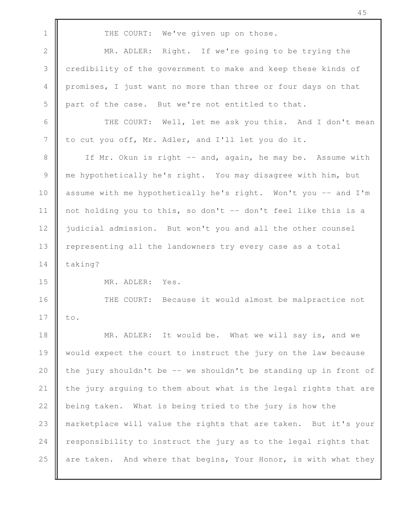1 THE COURT: We've given up on those. 2 **MR.** ADLER: Right. If we're going to be trying the 3 credibility of the government to make and keep these kinds of 4 promises, I just want no more than three or four days on that 5  $\parallel$  part of the case. But we're not entitled to that. 6 | THE COURT: Well, let me ask you this. And I don't mean 7 | to cut you off, Mr. Adler, and I'll let you do it. 8 | If Mr. Okun is right -- and, again, he may be. Assume with 9 me hypothetically he's right. You may disagree with him, but 10 assume with me hypothetically he's right. Won't you -- and I'm 11 | not holding you to this, so don't  $-$  don't feel like this is a 12 | judicial admission. But won't you and all the other counsel 13 | representing all the landowners try every case as a total

14 | taking?

15 MR. ADLER: Yes.

16 **THE COURT:** Because it would almost be malpractice not  $17 \parallel \text{to.}$ 

18 || MR. ADLER: It would be. What we will say is, and we would expect the court to instruct the jury on the law because  $\parallel$  the jury shouldn't be -- we shouldn't be standing up in front of  $\parallel$  the jury arguing to them about what is the legal rights that are  $\parallel$  being taken. What is being tried to the jury is how the marketplace will value the rights that are taken. But it's your  $\parallel$  responsibility to instruct the jury as to the legal rights that  $\parallel$  are taken. And where that begins, Your Honor, is with what they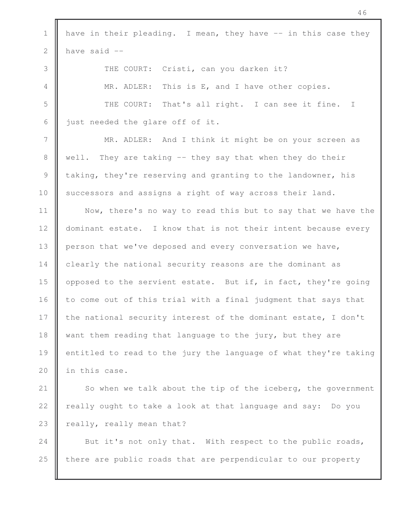1 | have in their pleading. I mean, they have  $-$  in this case they 2  $\parallel$  have said  $-$ 3 | THE COURT: Cristi, can you darken it? 4 | MR. ADLER: This is E, and I have other copies. 5 THE COURT: That's all right. I can see it fine. I 6 just needed the glare off of it. 7 MR. ADLER: And I think it might be on your screen as 8 Well. They are taking -- they say that when they do their 9 taking, they're reserving and granting to the landowner, his 10 successors and assigns a right of way across their land. 11 || Now, there's no way to read this but to say that we have the 12 dominant estate. I know that is not their intent because every 13 | person that we've deposed and every conversation we have, 14 clearly the national security reasons are the dominant as 15 | opposed to the servient estate. But if, in fact, they're going 16  $\parallel$  to come out of this trial with a final judgment that says that 17 the national security interest of the dominant estate, I don't 18 want them reading that language to the jury, but they are 19  $\parallel$  entitled to read to the jury the language of what they're taking 20 | in this case. 21  $\parallel$  So when we talk about the tip of the iceberg, the government 22 | really ought to take a look at that language and say: Do you 23  $\parallel$  really, really mean that? 24 But it's not only that. With respect to the public roads,

 $25$  there are public roads that are perpendicular to our property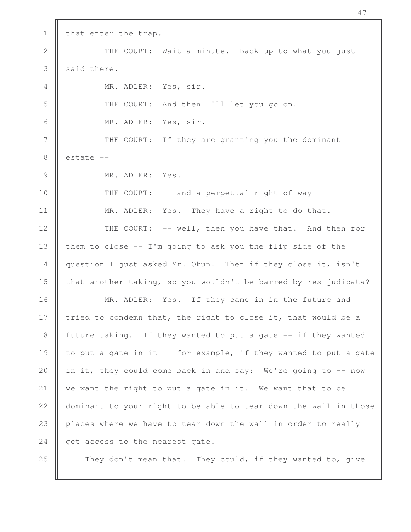1 | that enter the trap. 2 || THE COURT: Wait a minute. Back up to what you just  $3 \parallel$  said there. 4 || MR. ADLER: Yes, sir. 5  $\parallel$  THE COURT: And then I'll let you go on. 6 MR. ADLER: Yes, sir. 7 || THE COURT: If they are granting you the dominant  $8 \parallel$  estate  $-$ 9 || MR. ADLER: Yes. 10 **THE COURT:** -- and a perpetual right of way --11 || MR. ADLER: Yes. They have a right to do that. 12 || THE COURT: -- well, then you have that. And then for 13  $\parallel$  them to close -- I'm going to ask you the flip side of the 14 | question I just asked Mr. Okun. Then if they close it, isn't 15 **that another taking, so you wouldn't be barred by res judicata?** 16 || MR. ADLER: Yes. If they came in in the future and 17 tried to condemn that, the right to close it, that would be a 18 future taking. If they wanted to put a gate -- if they wanted 19  $\parallel$  to put a gate in it -- for example, if they wanted to put a gate 20 | in it, they could come back in and say: We're going to  $-$ - now 21  $\parallel$  we want the right to put a gate in it. We want that to be 22 | dominant to your right to be able to tear down the wall in those 23 | places where we have to tear down the wall in order to really 24  $\parallel$  get access to the nearest gate. 25 **They don't mean that.** They could, if they wanted to, give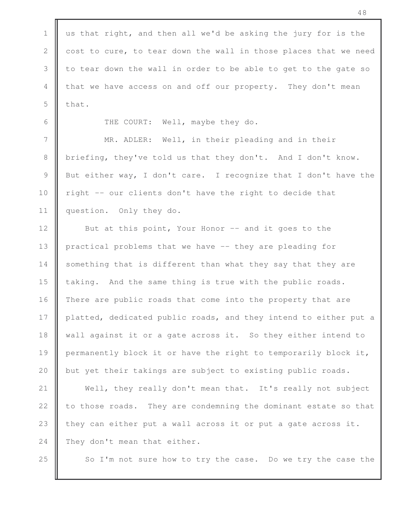| $\mathbf 1$     | us that right, and then all we'd be asking the jury for is the   |
|-----------------|------------------------------------------------------------------|
| $\mathbf{2}$    | cost to cure, to tear down the wall in those places that we need |
| 3               | to tear down the wall in order to be able to get to the gate so  |
| 4               | that we have access on and off our property. They don't mean     |
| 5               | that.                                                            |
| 6               | THE COURT: Well, maybe they do.                                  |
| $7\phantom{.0}$ | MR. ADLER: Well, in their pleading and in their                  |
| 8               | briefing, they've told us that they don't. And I don't know.     |
| $\mathcal{G}$   | But either way, I don't care. I recognize that I don't have the  |
| 10              | right -- our clients don't have the right to decide that         |
| 11              | question. Only they do.                                          |
| 12              | But at this point, Your Honor -- and it goes to the              |
| 13              | practical problems that we have -- they are pleading for         |
| 14              | something that is different than what they say that they are     |
| 15              | taking. And the same thing is true with the public roads.        |
| 16              | There are public roads that come into the property that are      |
| 17              | platted, dedicated public roads, and they intend to either put a |
| 18              | wall against it or a gate across it. So they either intend to    |
| 19              | permanently block it or have the right to temporarily block it,  |
| 20              | but yet their takings are subject to existing public roads.      |
| 21              | Well, they really don't mean that. It's really not subject       |
| 22              | to those roads. They are condemning the dominant estate so that  |
| 23              | they can either put a wall across it or put a gate across it.    |
| 24              | They don't mean that either.                                     |
| 25              | So I'm not sure how to try the case. Do we try the case the      |
|                 |                                                                  |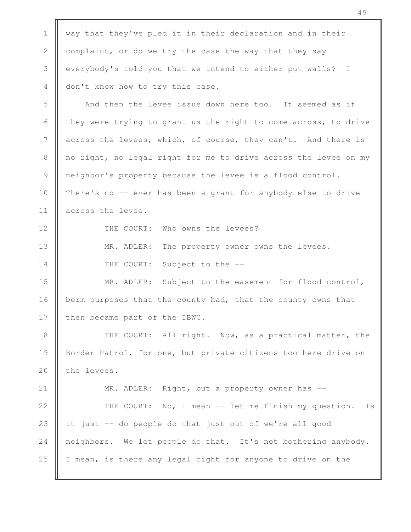1 Way that they've pled it in their declaration and in their 2 complaint, or do we try the case the way that they say 3 everybody's told you that we intend to either put walls? I 4 don't know how to try this case. 5 **And then the levee issue down here too.** It seemed as if 6 they were trying to grant us the right to come across, to drive 7 | across the levees, which, of course, they can't. And there is 8 no right, no legal right for me to drive across the levee on my 9 neighbor's property because the levee is a flood control. 10 There's no -- ever has been a grant for anybody else to drive 11 across the levee. 12 **I** THE COURT: Who owns the levees? 13 || MR. ADLER: The property owner owns the levees. 14 **THE COURT:** Subject to the --15 || MR. ADLER: Subject to the easement for flood control, 16 berm purposes that the county had, that the county owns that 17 I then became part of the IBWC. 18 || THE COURT: All right. Now, as a practical matter, the 19 Border Patrol, for one, but private citizens too here drive on 20  $\parallel$  the levees. 21 **MR. ADLER:** Right, but a property owner has --22 | THE COURT: No, I mean -- let me finish my question. Is 23  $\parallel$  it just -- do people do that just out of we're all good 24  $\parallel$  neighbors. We let people do that. It's not bothering anybody. 25  $\parallel$  I mean, is there any legal right for anyone to drive on the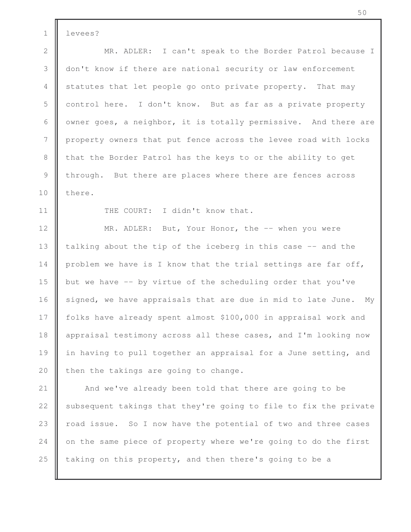1 levees?

2 || MR. ADLER: I can't speak to the Border Patrol because I 3 don't know if there are national security or law enforcement 4 statutes that let people go onto private property. That may 5 control here. I don't know. But as far as a private property 6  $\parallel$  owner goes, a neighbor, it is totally permissive. And there are 7 property owners that put fence across the levee road with locks 8 | that the Border Patrol has the keys to or the ability to get 9 through. But there are places where there are fences across 10 l there.

11 | THE COURT: I didn't know that.

12 **MR. ADLER:** But, Your Honor, the -- when you were 13  $\parallel$  talking about the tip of the iceberg in this case  $-$  and the 14 | problem we have is I know that the trial settings are far off, 15 but we have -- by virtue of the scheduling order that you've 16  $\parallel$  signed, we have appraisals that are due in mid to late June. My 17 | folks have already spent almost \$100,000 in appraisal work and 18 | appraisal testimony across all these cases, and I'm looking now 19 || in having to pull together an appraisal for a June setting, and 20  $\parallel$  then the takings are going to change.

21 || And we've already been told that there are going to be 22  $\parallel$  subsequent takings that they're going to file to fix the private 23 || road issue. So I now have the potential of two and three cases 24 on the same piece of property where we're going to do the first 25  $\parallel$  taking on this property, and then there's going to be a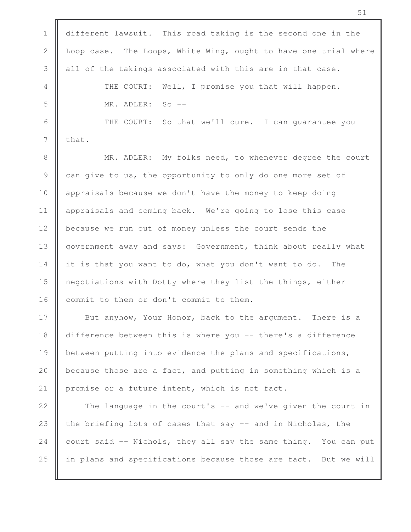1 different lawsuit. This road taking is the second one in the 2 | Loop case. The Loops, White Wing, ought to have one trial where  $3$  all of the takings associated with this are in that case. 4 || THE COURT: Well, I promise you that will happen. 5 MR. ADLER: So -- 6 | THE COURT: So that we'll cure. I can guarantee you  $7 \parallel$  that. 8 || MR. ADLER: My folks need, to whenever degree the court 9 can give to us, the opportunity to only do one more set of 10 **a** appraisals because we don't have the money to keep doing 11 | appraisals and coming back. We're going to lose this case 12 **because we run out of money unless the court sends the** 13 | government away and says: Government, think about really what 14 it is that you want to do, what you don't want to do. The 15 **n**egotiations with Dotty where they list the things, either 16 commit to them or don't commit to them. 17 But anyhow, Your Honor, back to the argument. There is a 18 difference between this is where you -- there's a difference 19 **b**etween putting into evidence the plans and specifications, 20  $\parallel$  because those are a fact, and putting in something which is a 21 | promise or a future intent, which is not fact. 22  $\parallel$  The language in the court's  $-$  and we've given the court in 23  $\parallel$  the briefing lots of cases that say  $-$  and in Nicholas, the 24 court said  $-$  Nichols, they all say the same thing. You can put 25  $\parallel$  in plans and specifications because those are fact. But we will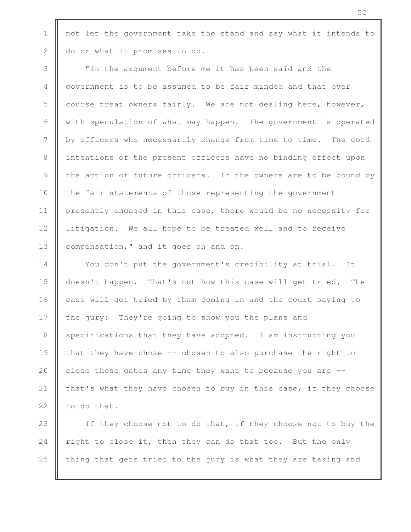1 | not let the government take the stand and say what it intends to 2 do or what it promises to do.

3 "In the argument before me it has been said and the 4 government is to be assumed to be fair minded and that over 5 course treat owners fairly. We are not dealing here, however, 6 With speculation of what may happen. The government is operated 7 by officers who necessarily change from time to time. The good 8 intentions of the present officers have no binding effect upon 9 the action of future officers. If the owners are to be bound by 10 the fair statements of those representing the government 11 | presently engaged in this case, there would be no necessity for 12 | litigation. We all hope to be treated well and to receive 13 **compensation,"** and it goes on and on.

14 | You don't put the government's credibility at trial. It 15 doesn't happen. That's not how this case will get tried. The 16 case will get tried by them coming in and the court saying to 17  $\parallel$  the jury: They're going to show you the plans and 18 specifications that they have adopted. I am instructing you 19  $\parallel$  that they have chose -- chosen to also purchase the right to 20  $\parallel$  close those gates any time they want to because you are  $-$ 21 that's what they have chosen to buy in this case, if they choose 22  $\parallel$  to do that.

23 || If they choose not to do that, if they choose not to buy the 24 right to close it, then they can do that too. But the only 25  $\parallel$  thing that gets tried to the jury is what they are taking and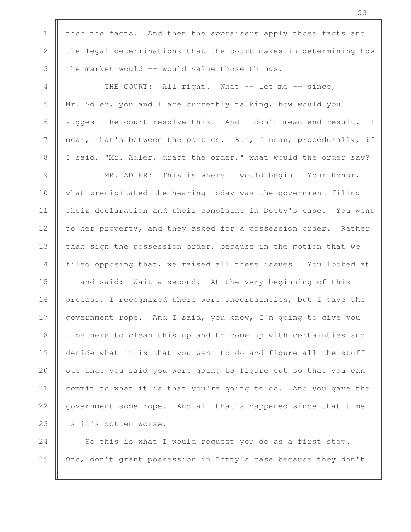1 | then the facts. And then the appraisers apply those facts and  $2 \parallel$  the legal determinations that the court makes in determining how  $3$  | the market would  $-$  would value those things. 4 THE COURT: All right. What -- let me -- since, 5 | Mr. Adler, you and I are currently talking, how would you 6 | suggest the court resolve this? And I don't mean end result. I 7 mean, that's between the parties. But, I mean, procedurally, if 8 | I said, "Mr. Adler, draft the order," what would the order say? 9 || MR. ADLER: This is where I would begin. Your Honor, 10 what precipitated the hearing today was the government filing 11 | their declaration and their complaint in Dotty's case. You went 12 | to her property, and they asked for a possession order. Rather 13 | than sign the possession order, because in the motion that we 14 filed opposing that, we raised all these issues. You looked at 15 **i** it and said: Wait a second. At the very beginning of this 16 process, I recognized there were uncertainties, but I gave the 17 | government rope. And I said, you know, I'm going to give you 18 | time here to clean this up and to come up with certainties and 19 **decide what it is that you want to do and figure all the stuff** 20  $\parallel$  out that you said you were going to figure out so that you can 21 commit to what it is that you're going to do. And you gave the 22 | government some rope. And all that's happened since that time 23 | is it's gotten worse.

24  $\parallel$  So this is what I would request you do as a first step. 25 | One, don't grant possession in Dotty's case because they don't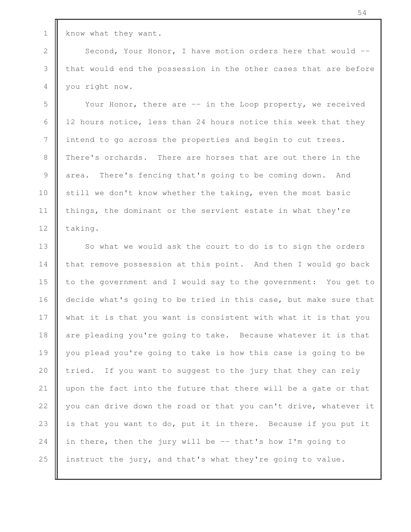1 know what they want.

2 Second, Your Honor, I have motion orders here that would --3 I that would end the possession in the other cases that are before 4 you right now.

5 Your Honor, there are -- in the Loop property, we received 6  $\parallel$  12 hours notice, less than 24 hours notice this week that they 7 | intend to go across the properties and begin to cut trees. 8 There's orchards. There are horses that are out there in the 9 area. There's fencing that's going to be coming down. And 10  $\parallel$  still we don't know whether the taking, even the most basic 11 | things, the dominant or the servient estate in what they're 12  $\parallel$  taking.

13 || So what we would ask the court to do is to sign the orders 14 that remove possession at this point. And then I would go back 15 | to the government and I would say to the government: You get to 16 decide what's going to be tried in this case, but make sure that 17 what it is that you want is consistent with what it is that you 18 are pleading you're going to take. Because whatever it is that 19 you plead you're going to take is how this case is going to be 20  $\parallel$  tried. If you want to suggest to the jury that they can rely 21  $\parallel$  upon the fact into the future that there will be a gate or that 22  $\parallel$  you can drive down the road or that you can't drive, whatever it 23  $\parallel$  is that you want to do, put it in there. Because if you put it 24 in there, then the jury will be  $-$ - that's how I'm going to 25  $\parallel$  instruct the jury, and that's what they're going to value.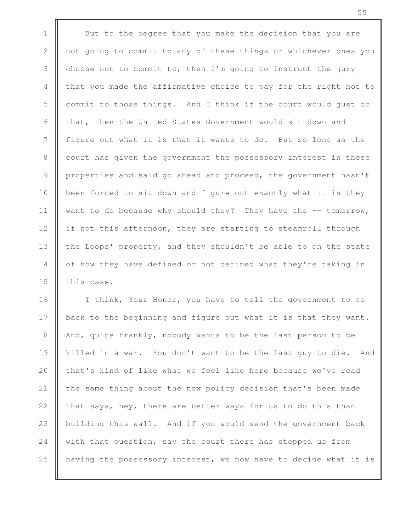1 But to the degree that you make the decision that you are 2 not going to commit to any of these things or whichever ones you 3 choose not to commit to, then I'm going to instruct the jury 4 that you made the affirmative choice to pay for the right not to 5 commit to those things. And I think if the court would just do 6  $\parallel$  that, then the United States Government would sit down and 7 figure out what it is that it wants to do. But so long as the 8 | court has given the government the possessory interest in these 9 properties and said go ahead and proceed, the government hasn't 10 **b**een forced to sit down and figure out exactly what it is they 11  $\parallel$  want to do because why should they? They have the  $-$  tomorrow, 12 if not this afternoon, they are starting to steamroll through 13 | the Loops' property, and they shouldn't be able to on the state 14 | of how they have defined or not defined what they're taking in 15  $\parallel$  this case.

16 | I think, Your Honor, you have to tell the government to go 17 back to the beginning and figure out what it is that they want. 18 | And, quite frankly, nobody wants to be the last person to be 19 || killed in a war. You don't want to be the last guy to die. And 20 **that's kind of like what we feel like here because we've read** 21 the same thing about the new policy decision that's been made 22  $\parallel$  that says, hey, there are better ways for us to do this than 23 building this wall. And if you would send the government back 24 with that question, say the court there has stopped us from 25 **h** having the possessory interest, we now have to decide what it is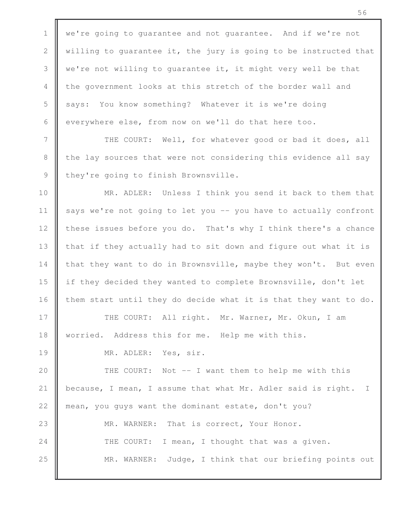1 | we're going to guarantee and not guarantee. And if we're not 2  $\parallel$  willing to quarantee it, the jury is going to be instructed that 3  $\parallel$  we're not willing to quarantee it, it might very well be that 4 the government looks at this stretch of the border wall and 5 says: You know something? Whatever it is we're doing 6 everywhere else, from now on we'll do that here too.

7 | THE COURT: Well, for whatever good or bad it does, all 8 the lay sources that were not considering this evidence all say 9 they're going to finish Brownsville.

10 **MR.** ADLER: Unless I think you send it back to them that 11 | says we're not going to let you -- you have to actually confront 12 these issues before you do. That's why I think there's a chance 13 | that if they actually had to sit down and figure out what it is 14 that they want to do in Brownsville, maybe they won't. But even 15 if they decided they wanted to complete Brownsville, don't let 16  $\parallel$  them start until they do decide what it is that they want to do.

17 || THE COURT: All right. Mr. Warner, Mr. Okun, I am 18 | worried. Address this for me. Help me with this.

19 MR. ADLER: Yes, sir.

20 || THE COURT: Not -- I want them to help me with this 21 | because, I mean, I assume that what Mr. Adler said is right. I 22 mean, you guys want the dominant estate, don't you? 23 || MR. WARNER: That is correct, Your Honor. 24 THE COURT: I mean, I thought that was a given. 25 MR. WARNER: Judge, I think that our briefing points out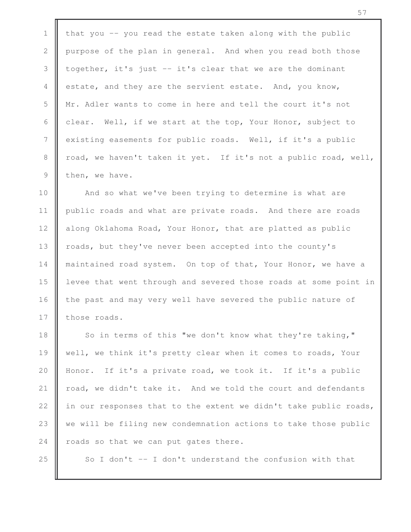1 that you  $-$  you read the estate taken along with the public 2 purpose of the plan in general. And when you read both those 3  $\parallel$  together, it's just -- it's clear that we are the dominant 4 estate, and they are the servient estate. And, you know, 5 Mr. Adler wants to come in here and tell the court it's not 6 clear. Well, if we start at the top, Your Honor, subject to 7 existing easements for public roads. Well, if it's a public 8 | road, we haven't taken it yet. If it's not a public road, well,  $9$  then, we have.

10 || And so what we've been trying to determine is what are 11 | public roads and what are private roads. And there are roads 12 along Oklahoma Road, Your Honor, that are platted as public 13 | roads, but they've never been accepted into the county's 14 | maintained road system. On top of that, Your Honor, we have a 15 **l** levee that went through and severed those roads at some point in 16 the past and may very well have severed the public nature of  $17$  | those roads.

18 || So in terms of this "we don't know what they're taking," 19 || well, we think it's pretty clear when it comes to roads, Your 20 Honor. If it's a private road, we took it. If it's a public 21  $\parallel$  road, we didn't take it. And we told the court and defendants 22  $\parallel$  in our responses that to the extent we didn't take public roads, 23 we will be filing new condemnation actions to take those public 24  $\parallel$  roads so that we can put gates there.

25  $\parallel$  So I don't -- I don't understand the confusion with that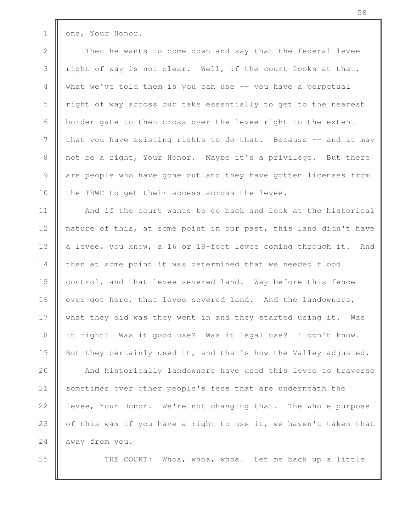1 one, Your Honor.

2 Then he wants to come down and say that the federal levee 3  $\parallel$  right of way is not clear. Well, if the court looks at that, 4 what we've told them is you can use -- you have a perpetual 5 The right of way across our take essentially to get to the nearest 6  $\parallel$  border gate to then cross over the levee right to the extent 7  $\parallel$  that you have existing rights to do that. Because  $-$  and it may 8 not be a right, Your Honor. Maybe it's a privilege. But there 9 are people who have gone out and they have gotten licenses from 10 the IBWC to get their access across the levee.

11 || And if the court wants to go back and look at the historical 12 | nature of this, at some point in our past, this land didn't have 13 a levee, you know, a 16 or 18-foot levee coming through it. And 14 | then at some point it was determined that we needed flood 15 control, and that levee severed land. Way before this fence 16 ever got here, that levee severed land. And the landowners, 17 what they did was they went in and they started using it. Was 18 it right? Was it good use? Was it legal use? I don't know. 19 But they certainly used it, and that's how the Valley adjusted.

20 || And historically landowners have used this levee to traverse 21 | sometimes over other people's fees that are underneath the 22 | levee, Your Honor. We're not changing that. The whole purpose 23  $\parallel$  of this was if you have a right to use it, we haven't taken that 24 away from you.

25 || THE COURT: Whoa, whoa, whoa. Let me back up a little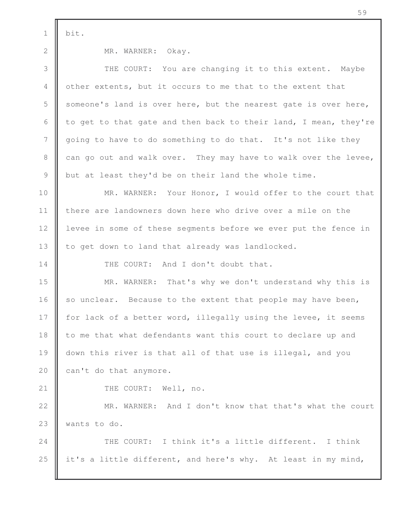$1 \parallel \text{bit.}$ 

2 MR. WARNER: Okay. 3 THE COURT: You are changing it to this extent. Maybe 4 other extents, but it occurs to me that to the extent that 5 someone's land is over here, but the nearest gate is over here, 6  $\parallel$  to get to that gate and then back to their land, I mean, they're 7 going to have to do something to do that. It's not like they 8 can go out and walk over. They may have to walk over the levee, 9 but at least they'd be on their land the whole time. 10 **MR.** WARNER: Your Honor, I would offer to the court that 11 **there are landowners down here who drive over a mile on the** 12 levee in some of these segments before we ever put the fence in 13 | to get down to land that already was landlocked. 14 **I** THE COURT: And I don't doubt that. 15 MR. WARNER: That's why we don't understand why this is 16 so unclear. Because to the extent that people may have been, 17  $\parallel$  for lack of a better word, illegally using the levee, it seems  $18$   $\parallel$  to me that what defendants want this court to declare up and 19 down this river is that all of that use is illegal, and you 20  $\parallel$  can't do that anymore. 21 || THE COURT: Well, no. 22 || MR. WARNER: And I don't know that that's what the court 23 **W** wants to do. 24 **THE COURT:** I think it's a little different. I think 25  $\parallel$  it's a little different, and here's why. At least in my mind,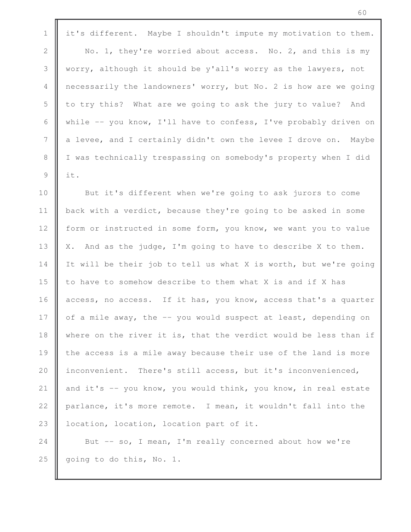1 it's different. Maybe I shouldn't impute my motivation to them.

2 No. 1, they're worried about access. No. 2, and this is my 3 worry, although it should be y'all's worry as the lawyers, not 4 necessarily the landowners' worry, but No. 2 is how are we going 5 | to try this? What are we going to ask the jury to value? And 6 While  $-$  you know, I'll have to confess, I've probably driven on 7 a levee, and I certainly didn't own the levee I drove on. Maybe 8 | I was technically trespassing on somebody's property when I did 9  $\parallel$  it.

**But it's different when we're going to ask jurors to come**  back with a verdict, because they're going to be asked in some 12 form or instructed in some form, you know, we want you to value  $\parallel$  X. And as the judge, I'm going to have to describe X to them. 14 It will be their job to tell us what X is worth, but we're going  $\parallel$  to have to somehow describe to them what X is and if X has  $\parallel$  access, no access. If it has, you know, access that's a quarter  $\parallel$  of a mile away, the  $-$  you would suspect at least, depending on 18 where on the river it is, that the verdict would be less than if  $\parallel$  the access is a mile away because their use of the land is more 20 | inconvenient. There's still access, but it's inconvenienced,  $\parallel$  and it's -- you know, you would think, you know, in real estate  $\parallel$  parlance, it's more remote. I mean, it wouldn't fall into the 23 | location, location, location part of it.

24 But -- so, I mean, I'm really concerned about how we're 25  $\parallel$  going to do this, No. 1.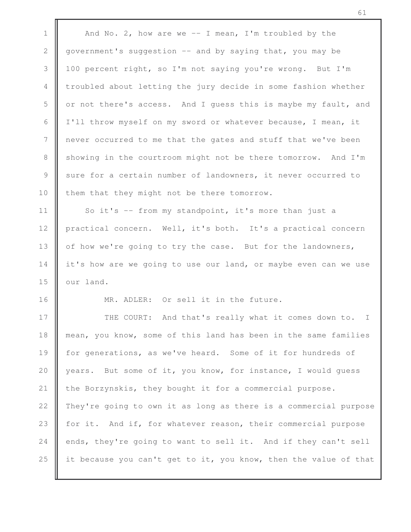1  $\parallel$  And No. 2, how are we -- I mean, I'm troubled by the 2 government's suggestion -- and by saying that, you may be 3 100 percent right, so I'm not saying you're wrong. But I'm 4 troubled about letting the jury decide in some fashion whether 5  $\parallel$  or not there's access. And I quess this is maybe my fault, and 6 | I'll throw myself on my sword or whatever because, I mean, it 7 never occurred to me that the gates and stuff that we've been 8 Showing in the courtroom might not be there tomorrow. And I'm 9 sure for a certain number of landowners, it never occurred to 10 them that they might not be there tomorrow. 11 | So it's -- from my standpoint, it's more than just a 12 | practical concern. Well, it's both. It's a practical concern 13 | of how we're going to try the case. But for the landowners, 14 it's how are we going to use our land, or maybe even can we use 15  $\parallel$  our land. 16 MR. ADLER: Or sell it in the future. 17 | THE COURT: And that's really what it comes down to. I 18 mean, you know, some of this land has been in the same families 19 for generations, as we've heard. Some of it for hundreds of 20 years. But some of it, you know, for instance, I would quess 21 the Borzynskis, they bought it for a commercial purpose. 22 | They're going to own it as long as there is a commercial purpose 23 | for it. And if, for whatever reason, their commercial purpose 24 ends, they're going to want to sell it. And if they can't sell 25 it because you can't get to it, you know, then the value of that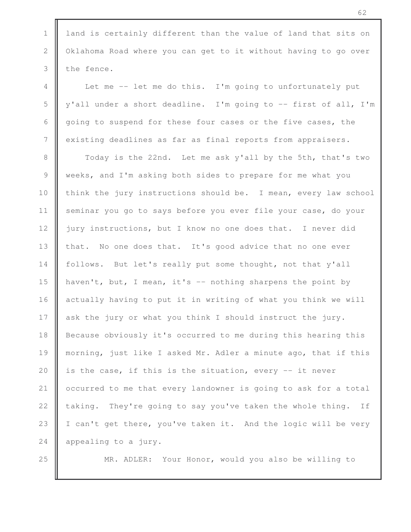1 | land is certainly different than the value of land that sits on 2 | Oklahoma Road where you can get to it without having to go over  $3$  the fence.

4 Let me -- let me do this. I'm going to unfortunately put 5  $\parallel$  y'all under a short deadline. I'm going to -- first of all, I'm 6 going to suspend for these four cases or the five cases, the 7 existing deadlines as far as final reports from appraisers.

8 **Today** is the 22nd. Let me ask y'all by the 5th, that's two 9 weeks, and I'm asking both sides to prepare for me what you 10 think the jury instructions should be. I mean, every law school 11 | seminar you go to says before you ever file your case, do your 12 jury instructions, but I know no one does that. I never did 13 that. No one does that. It's good advice that no one ever 14 | follows. But let's really put some thought, not that y'all 15 | haven't, but, I mean, it's  $-$  nothing sharpens the point by 16 actually having to put it in writing of what you think we will 17 ask the jury or what you think I should instruct the jury. 18 **B** Because obviously it's occurred to me during this hearing this 19 **m**orning, just like I asked Mr. Adler a minute ago, that if this 20 | is the case, if this is the situation, every  $-$  it never 21 | occurred to me that every landowner is going to ask for a total 22  $\parallel$  taking. They're going to say you've taken the whole thing. If 23 | I can't get there, you've taken it. And the logic will be very 24  $\parallel$  appealing to a jury.

25 MR. ADLER: Your Honor, would you also be willing to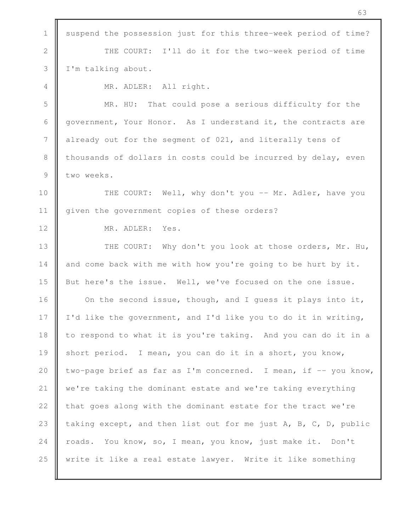1 | suspend the possession just for this three-week period of time? 2 THE COURT: I'll do it for the two-week period of time 3 I'm talking about. 4 MR. ADLER: All right. 5 MR. HU: That could pose a serious difficulty for the 6 government, Your Honor. As I understand it, the contracts are 7 already out for the segment of 021, and literally tens of 8 thousands of dollars in costs could be incurred by delay, even 9 two weeks. 10 **THE COURT:** Well, why don't you -- Mr. Adler, have you 11 | given the government copies of these orders? 12 MR. ADLER: Yes. 13 || THE COURT: Why don't you look at those orders, Mr. Hu, 14  $\parallel$  and come back with me with how you're going to be hurt by it. 15 But here's the issue. Well, we've focused on the one issue. 16 **On the second issue, though, and I quess it plays into it,** 17  $\parallel$  I'd like the government, and I'd like you to do it in writing, 18 | to respond to what it is you're taking. And you can do it in a 19 short period. I mean, you can do it in a short, you know, 20  $\parallel$  two-page brief as far as I'm concerned. I mean, if  $-$  you know, 21 | we're taking the dominant estate and we're taking everything 22 | that goes along with the dominant estate for the tract we're 23 taking except, and then list out for me just  $A$ ,  $B$ ,  $C$ ,  $D$ , public 24 roads. You know, so, I mean, you know, just make it. Don't 25 write it like a real estate lawyer. Write it like something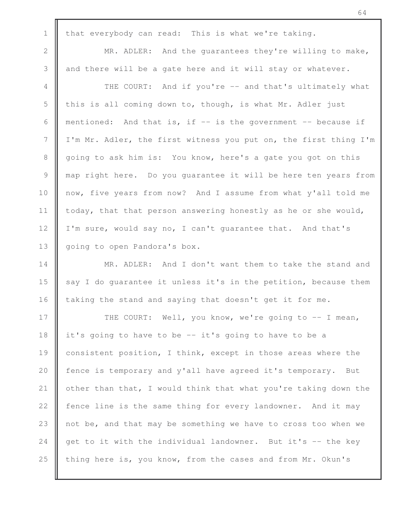1 that everybody can read: This is what we're taking. 2 MR. ADLER: And the quarantees they're willing to make, 3 and there will be a gate here and it will stay or whatever. 4 || THE COURT: And if you're -- and that's ultimately what 5  $\parallel$  this is all coming down to, though, is what Mr. Adler just 6 | mentioned: And that is, if  $-$  is the government  $-$  because if 7 I'm Mr. Adler, the first witness you put on, the first thing I'm 8 going to ask him is: You know, here's a gate you got on this 9 map right here. Do you guarantee it will be here ten years from 10 || now, five years from now? And I assume from what y'all told me 11  $\parallel$  today, that that person answering honestly as he or she would, 12 | I'm sure, would say no, I can't guarantee that. And that's 13 | going to open Pandora's box. 14 **MR.** ADLER: And I don't want them to take the stand and 15  $\parallel$  say I do quarantee it unless it's in the petition, because them 16  $\parallel$  taking the stand and saying that doesn't get it for me. 17 || THE COURT: Well, you know, we're going to -- I mean, 18 it's going to have to be -- it's going to have to be a 19 consistent position, I think, except in those areas where the 20 **f**ence is temporary and y'all have agreed it's temporary. But 21  $\parallel$  other than that, I would think that what you're taking down the 22  $\parallel$  fence line is the same thing for every landowner. And it may 23  $\parallel$  not be, and that may be something we have to cross too when we 24  $\parallel$  get to it with the individual landowner. But it's  $-$  the key

25  $\parallel$  thing here is, you know, from the cases and from Mr. Okun's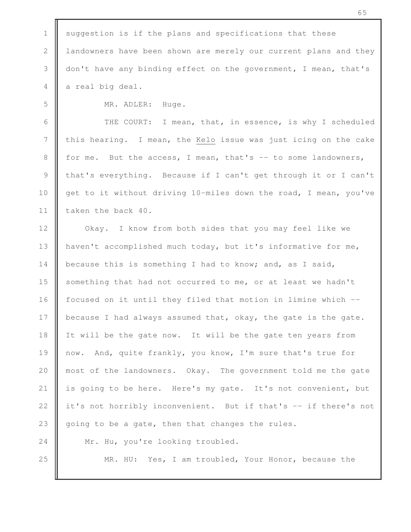| $\ensuremath{\mathbbm{1}}$ | suggestion is if the plans and specifications that these         |
|----------------------------|------------------------------------------------------------------|
| $\sqrt{2}$                 | landowners have been shown are merely our current plans and they |
| $\mathfrak{Z}$             | don't have any binding effect on the government, I mean, that's  |
| 4                          | a real big deal.                                                 |
| 5                          | MR. ADLER:<br>Huge.                                              |
| 6                          | THE COURT: I mean, that, in essence, is why I scheduled          |
| $7\phantom{.0}$            | this hearing. I mean, the Kelo issue was just icing on the cake  |
| $\,8\,$                    | for me. But the access, I mean, that's -- to some landowners,    |
| $\mathcal{G}$              | that's everything. Because if I can't get through it or I can't  |
| 10                         | get to it without driving 10-miles down the road, I mean, you've |
| 11                         | taken the back 40.                                               |
| 12                         | Okay. I know from both sides that you may feel like we           |
| 13                         | haven't accomplished much today, but it's informative for me,    |
| 14                         | because this is something I had to know; and, as I said,         |
| 15                         | something that had not occurred to me, or at least we hadn't     |
| 16                         | focused on it until they filed that motion in limine which --    |
| 17                         | because I had always assumed that, okay, the gate is the gate.   |
| 18                         | It will be the gate now. It will be the gate ten years from      |
| 19                         | And, quite frankly, you know, I'm sure that's true for<br>now.   |
| 20                         | most of the landowners. Okay. The government told me the gate    |
| 21                         | is going to be here. Here's my gate. It's not convenient, but    |
| 22                         | it's not horribly inconvenient. But if that's -- if there's not  |
| 23                         | going to be a gate, then that changes the rules.                 |
| 24                         | Mr. Hu, you're looking troubled.                                 |
| 25                         | Yes, I am troubled, Your Honor, because the<br>MR. HU:           |
|                            |                                                                  |

п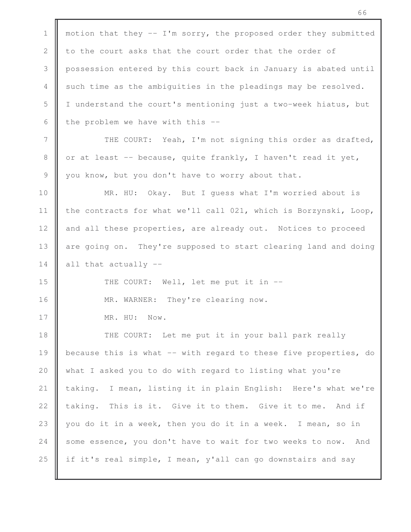1 | motion that they  $-$  I'm sorry, the proposed order they submitted 2 to the court asks that the court order that the order of 3 possession entered by this court back in January is abated until 4 such time as the ambiguities in the pleadings may be resolved. 5 I understand the court's mentioning just a two-week hiatus, but 6 the problem we have with this  $-$ 7 THE COURT: Yeah, I'm not signing this order as drafted, 8 | or at least  $-$  because, quite frankly, I haven't read it yet, 9 you know, but you don't have to worry about that. 10 MR. HU: Okay. But I guess what I'm worried about is 11 | the contracts for what we'll call 021, which is Borzynski, Loop, 12 and all these properties, are already out. Notices to proceed 13 are going on. They're supposed to start clearing land and doing 14  $\parallel$  all that actually --15 **THE COURT:** Well, let me put it in --16 | MR. WARNER: They're clearing now. 17 | MR. HU: Now. 18 || THE COURT: Let me put it in your ball park really 19 **b**ecause this is what -- with regard to these five properties, do 20 what I asked you to do with regard to listing what you're 21 taking. I mean, listing it in plain English: Here's what we're 22  $\parallel$  taking. This is it. Give it to them. Give it to me. And if 23 || you do it in a week, then you do it in a week. I mean, so in 24 some essence, you don't have to wait for two weeks to now. And 25 if it's real simple, I mean, y'all can go downstairs and say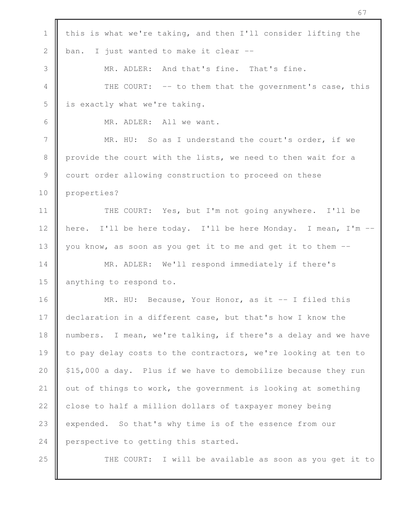| $\mathbf 1$    | this is what we're taking, and then I'll consider lifting the  |
|----------------|----------------------------------------------------------------|
| $\mathbf{2}$   | I just wanted to make it clear --<br>ban.                      |
| 3              | MR. ADLER: And that's fine. That's fine.                       |
| $\overline{4}$ | THE COURT: -- to them that the government's case, this         |
| 5              | is exactly what we're taking.                                  |
| 6              | MR. ADLER: All we want.                                        |
| 7              | MR. HU: So as I understand the court's order, if we            |
| $\,8\,$        | provide the court with the lists, we need to then wait for a   |
| $\mathcal{G}$  | court order allowing construction to proceed on these          |
| 10             | properties?                                                    |
| 11             | THE COURT: Yes, but I'm not going anywhere. I'll be            |
| 12             | here. I'll be here today. I'll be here Monday. I mean, I'm --  |
| 13             | you know, as soon as you get it to me and get it to them --    |
| 14             | MR. ADLER: We'll respond immediately if there's                |
| 15             | anything to respond to.                                        |
| 16             | MR. HU: Because, Your Honor, as it $-$ I filed this            |
| 17             | declaration in a different case, but that's how I know the     |
| 18             | numbers. I mean, we're talking, if there's a delay and we have |
| 19             | to pay delay costs to the contractors, we're looking at ten to |
| 20             | \$15,000 a day. Plus if we have to demobilize because they run |
| 21             | out of things to work, the government is looking at something  |
| 22             | close to half a million dollars of taxpayer money being        |
| 23             | expended. So that's why time is of the essence from our        |
| 24             | perspective to getting this started.                           |
| 25             | THE COURT: I will be available as soon as you get it to        |
|                |                                                                |

п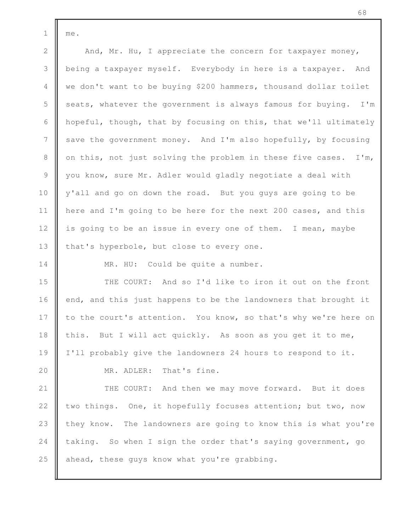$1 \parallel me.$ 

2 And, Mr. Hu, I appreciate the concern for taxpayer money, 3 being a taxpayer myself. Everybody in here is a taxpayer. And 4 we don't want to be buying \$200 hammers, thousand dollar toilet  $5 \parallel$  seats, whatever the government is always famous for buying. I'm 6  $\parallel$  hopeful, though, that by focusing on this, that we'll ultimately 7 save the government money. And I'm also hopefully, by focusing 8  $\parallel$  on this, not just solving the problem in these five cases. I'm, 9 you know, sure Mr. Adler would gladly negotiate a deal with 10 y'all and go on down the road. But you guys are going to be 11 | here and I'm going to be here for the next 200 cases, and this 12 is going to be an issue in every one of them. I mean, maybe 13  $\parallel$  that's hyperbole, but close to every one.

14 || MR. HU: Could be quite a number.

 $\parallel$  THE COURT: And so I'd like to iron it out on the front  $\parallel$  end, and this just happens to be the landowners that brought it 17 to the court's attention. You know, so that's why we're here on  $\parallel$  this. But I will act quickly. As soon as you get it to me, I'll probably give the landowners 24 hours to respond to it.

20 **MR.** ADLER: That's fine.

21 | THE COURT: And then we may move forward. But it does 22 | two things. One, it hopefully focuses attention; but two, now 23  $\parallel$  they know. The landowners are going to know this is what you're 24 taking. So when I sign the order that's saying government, go  $25$  ahead, these guys know what you're grabbing.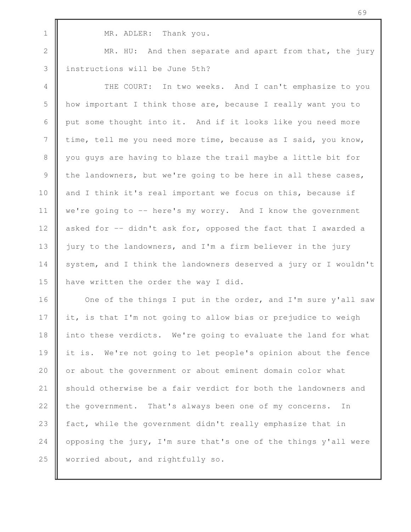1 MR. ADLER: Thank you.

2 MR. HU: And then separate and apart from that, the jury 3 | instructions will be June 5th?

4 **THE COURT:** In two weeks. And I can't emphasize to you 5 how important I think those are, because I really want you to 6 put some thought into it. And if it looks like you need more 7 time, tell me you need more time, because as I said, you know, 8 you guys are having to blaze the trail maybe a little bit for 9 the landowners, but we're going to be here in all these cases, 10 and I think it's real important we focus on this, because if 11 we're going to -- here's my worry. And I know the government 12 asked for -- didn't ask for, opposed the fact that I awarded a 13 | jury to the landowners, and I'm a firm believer in the jury 14 | system, and I think the landowners deserved a jury or I wouldn't 15 **h** have written the order the way I did.

16 | One of the things I put in the order, and I'm sure y'all saw 17 it, is that I'm not going to allow bias or prejudice to weigh 18 into these verdicts. We're going to evaluate the land for what 19 it is. We're not going to let people's opinion about the fence 20 || or about the government or about eminent domain color what 21 Should otherwise be a fair verdict for both the landowners and 22 the government. That's always been one of my concerns. In 23 | fact, while the government didn't really emphasize that in 24 | opposing the jury, I'm sure that's one of the things y'all were 25 Worried about, and rightfully so.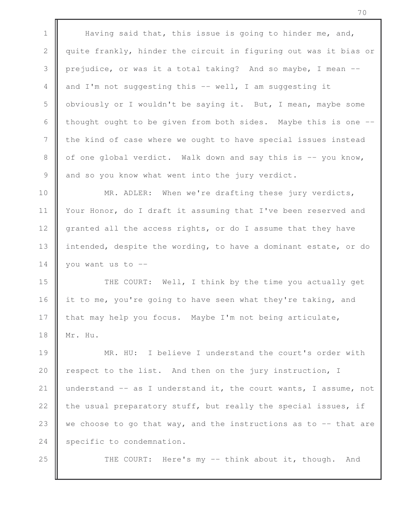1 Having said that, this issue is going to hinder me, and, 2 quite frankly, hinder the circuit in figuring out was it bias or 3 prejudice, or was it a total taking? And so maybe, I mean -- 4 and I'm not suggesting this -- well, I am suggesting it 5 obviously or I wouldn't be saying it. But, I mean, maybe some 6 thought ought to be given from both sides. Maybe this is one  $-$ 7 I the kind of case where we ought to have special issues instead 8  $\parallel$  of one global verdict. Walk down and say this is  $-$ - you know, 9 and so you know what went into the jury verdict.

10 **MR.** ADLER: When we're drafting these jury verdicts, 11 | Your Honor, do I draft it assuming that I've been reserved and 12 granted all the access rights, or do I assume that they have 13 intended, despite the wording, to have a dominant estate, or do 14 | you want us to  $-$ 

15 || THE COURT: Well, I think by the time you actually get 16 it to me, you're going to have seen what they're taking, and 17 that may help you focus. Maybe I'm not being articulate, 18 Mr. Hu.

19 **MR.** HU: I believe I understand the court's order with 20 | respect to the list. And then on the jury instruction, I 21 understand  $-$  as I understand it, the court wants, I assume, not 22  $\parallel$  the usual preparatory stuff, but really the special issues, if 23  $\parallel$  we choose to go that way, and the instructions as to  $-$  that are 24 Specific to condemnation.

25 **THE COURT:** Here's my -- think about it, though. And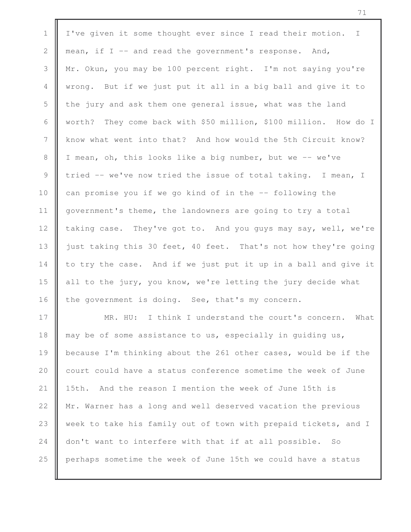| $\mathbf 1$   | I've given it some thought ever since I read their motion. I     |
|---------------|------------------------------------------------------------------|
| $\mathbf{2}$  | mean, if I -- and read the government's response. And,           |
| 3             | Mr. Okun, you may be 100 percent right. I'm not saying you're    |
| 4             | wrong. But if we just put it all in a big ball and give it to    |
| 5             | the jury and ask them one general issue, what was the land       |
| 6             | worth? They come back with \$50 million, \$100 million. How do I |
| 7             | know what went into that? And how would the 5th Circuit know?    |
| 8             | I mean, oh, this looks like a big number, but we -- we've        |
| $\mathcal{G}$ | tried -- we've now tried the issue of total taking. I mean, I    |
| 10            | can promise you if we go kind of in the -- following the         |
| 11            | government's theme, the landowners are going to try a total      |
| 12            | taking case. They've got to. And you guys may say, well, we're   |
| 13            | just taking this 30 feet, 40 feet. That's not how they're going  |
| 14            | to try the case. And if we just put it up in a ball and give it  |
| 15            | all to the jury, you know, we're letting the jury decide what    |
| 16            | the government is doing. See, that's my concern.                 |
| 17            | MR. HU: I think I understand the court's concern. What           |
| 18            | may be of some assistance to us, especially in quiding us,       |
| 19            | because I'm thinking about the 261 other cases, would be if the  |
| 20            | court could have a status conference sometime the week of June   |
| 21            | And the reason I mention the week of June 15th is<br>15th.       |
| 22            | Mr. Warner has a long and well deserved vacation the previous    |
| 23            | week to take his family out of town with prepaid tickets, and I  |
| 24            | don't want to interfere with that if at all possible.<br>SO      |
| 25            | perhaps sometime the week of June 15th we could have a status    |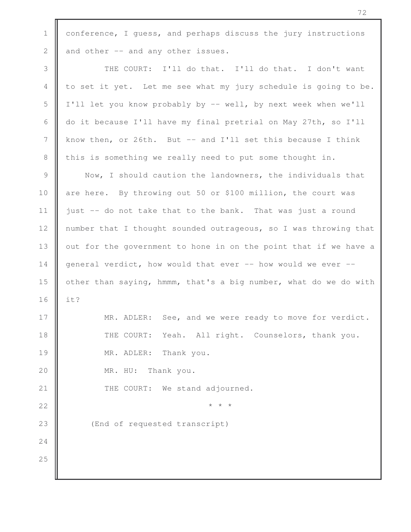1 conference, I quess, and perhaps discuss the jury instructions 2  $\parallel$  and other  $\sim$  and any other issues. 3 || THE COURT: I'll do that. I'll do that. I don't want 4  $\parallel$  to set it yet. Let me see what my jury schedule is going to be. 5 I'll let you know probably by -- well, by next week when we'll 6 do it because I'll have my final pretrial on May 27th, so I'll 7 know then, or 26th. But -- and I'll set this because I think 8 this is something we really need to put some thought in. 9 Now, I should caution the landowners, the individuals that 10 are here. By throwing out 50 or \$100 million, the court was 11 just  $-$  do not take that to the bank. That was just a round 12 | number that I thought sounded outrageous, so I was throwing that 13 | out for the government to hone in on the point that if we have a 14 general verdict, how would that ever -- how would we ever --15 **o** ther than saying, hmmm, that's a big number, what do we do with 16  $\parallel$  it? 17 **MR.** ADLER: See, and we were ready to move for verdict. 18 || THE COURT: Yeah. All right. Counselors, thank you. 19 **MR. ADLER:** Thank you. 20 MR. HU: Thank you. 21 **I** THE COURT: We stand adjourned. 22  $\parallel$  \* \* \* 23 || (End of requested transcript) 24 25